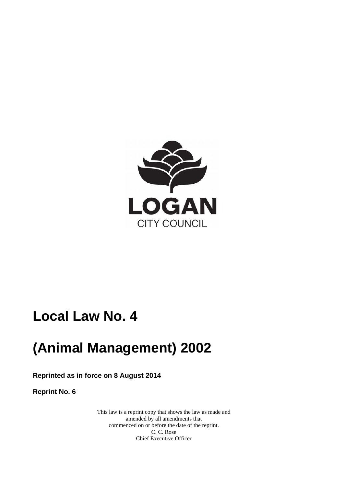

# **Local Law No. 4**

# **(Animal Management) 2002**

**Reprinted as in force on 8 August 2014** 

**Reprint No. 6** 

This law is a reprint copy that shows the law as made and amended by all amendments that commenced on or before the date of the reprint. C. C. Rose Chief Executive Officer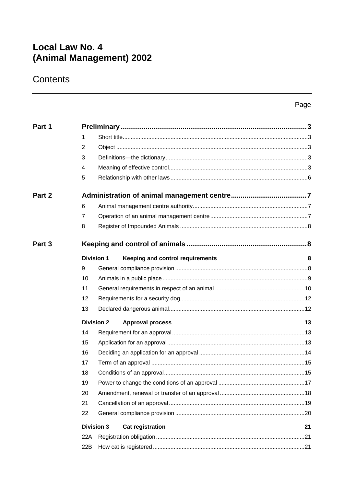## **Local Law No. 4** (Animal Management) 2002

## Contents

|                   |                |                                                              | Page |
|-------------------|----------------|--------------------------------------------------------------|------|
| Part 1            |                |                                                              |      |
|                   | 1              |                                                              |      |
|                   | $\overline{2}$ |                                                              |      |
|                   | 3              |                                                              |      |
|                   | 4              |                                                              |      |
|                   | 5              |                                                              |      |
| Part 2            |                |                                                              |      |
|                   | 6              |                                                              |      |
|                   | $\overline{7}$ |                                                              |      |
|                   | 8              |                                                              |      |
| Part <sub>3</sub> |                |                                                              |      |
|                   |                | <b>Division 1</b><br><b>Keeping and control requirements</b> | 8    |
|                   | 9              |                                                              |      |
|                   | 10             |                                                              |      |
|                   | 11             |                                                              |      |
|                   | 12             |                                                              |      |
|                   | 13             |                                                              |      |
|                   |                | <b>Division 2</b><br><b>Approval process</b>                 | 13   |
|                   | 14             |                                                              |      |
|                   | 15             |                                                              |      |
|                   | 16             |                                                              |      |
|                   | 17             |                                                              |      |
|                   | 18             |                                                              |      |
|                   | 19             |                                                              |      |
|                   | 20             |                                                              |      |
|                   | 21             |                                                              |      |
|                   | 22             |                                                              |      |
|                   |                | <b>Division 3</b><br><b>Cat registration</b>                 | 21   |
|                   | 22A            |                                                              |      |
|                   | 22B            |                                                              |      |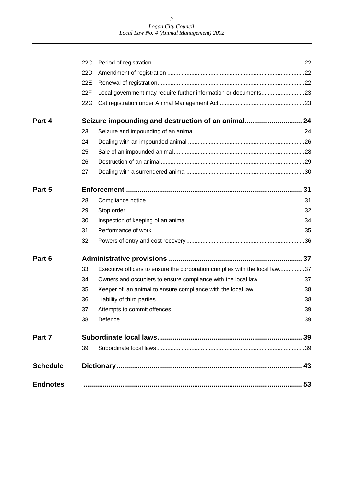|                 | 22C |                                                                            |  |
|-----------------|-----|----------------------------------------------------------------------------|--|
|                 | 22D |                                                                            |  |
|                 | 22E |                                                                            |  |
|                 | 22F | Local government may require further information or documents23            |  |
|                 | 22G |                                                                            |  |
| Part 4          |     | Seizure impounding and destruction of an animal 24                         |  |
|                 | 23  |                                                                            |  |
|                 | 24  |                                                                            |  |
|                 | 25  |                                                                            |  |
|                 | 26  |                                                                            |  |
|                 | 27  |                                                                            |  |
| Part 5          |     |                                                                            |  |
|                 | 28  |                                                                            |  |
|                 | 29  |                                                                            |  |
|                 | 30  |                                                                            |  |
|                 | 31  |                                                                            |  |
|                 | 32  |                                                                            |  |
| Part 6          |     |                                                                            |  |
|                 | 33  | Executive officers to ensure the corporation complies with the local law37 |  |
|                 | 34  | Owners and occupiers to ensure compliance with the local law37             |  |
|                 | 35  | Keeper of an animal to ensure compliance with the local law38              |  |
|                 | 36  |                                                                            |  |
|                 | 37  |                                                                            |  |
|                 | 38  |                                                                            |  |
| Part 7          |     |                                                                            |  |
|                 | 39  |                                                                            |  |
| <b>Schedule</b> |     |                                                                            |  |
| <b>Endnotes</b> |     |                                                                            |  |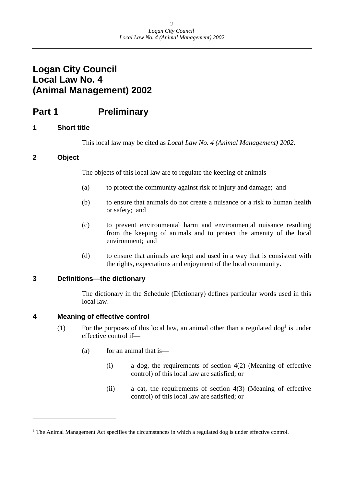## <span id="page-3-0"></span>**Logan City Council Local Law No. 4 (Animal Management) 2002**

## **Part 1** Preliminary

## **1 Short title**

This local law may be cited as *Local Law No. 4 (Animal Management) 2002*.

## **2 Object**

 $\overline{a}$ 

The objects of this local law are to regulate the keeping of animals—

- (a) to protect the community against risk of injury and damage; and
- (b) to ensure that animals do not create a nuisance or a risk to human health or safety; and
- (c) to prevent environmental harm and environmental nuisance resulting from the keeping of animals and to protect the amenity of the local environment; and
- (d) to ensure that animals are kept and used in a way that is consistent with the rights, expectations and enjoyment of the local community.

## **3 Definitions—the dictionary**

The dictionary in the Schedule (Dictionary) defines particular words used in this local law.

## **4 Meaning of effective control**

- (1) For the purposes of this local law, an animal other than a regulated  $\log^1$  is under effective control if—
	- (a) for an animal that is—
		- (i) a dog, the requirements of section 4(2) (Meaning of effective control) of this local law are satisfied; or
		- (ii) a cat, the requirements of section 4(3) (Meaning of effective control) of this local law are satisfied; or

<sup>&</sup>lt;sup>1</sup> The Animal Management Act specifies the circumstances in which a regulated dog is under effective control.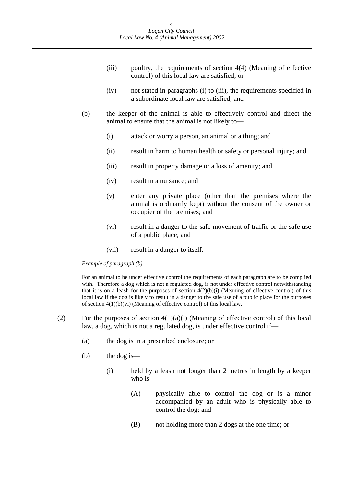- (iii) poultry, the requirements of section 4(4) (Meaning of effective control) of this local law are satisfied; or
- (iv) not stated in paragraphs (i) to (iii), the requirements specified in a subordinate local law are satisfied; and
- (b) the keeper of the animal is able to effectively control and direct the animal to ensure that the animal is not likely to—
	- (i) attack or worry a person, an animal or a thing; and
	- (ii) result in harm to human health or safety or personal injury; and
	- (iii) result in property damage or a loss of amenity; and
	- (iv) result in a nuisance; and
	- (v) enter any private place (other than the premises where the animal is ordinarily kept) without the consent of the owner or occupier of the premises; and
	- (vi) result in a danger to the safe movement of traffic or the safe use of a public place; and
	- (vii) result in a danger to itself.

 *Example of paragraph (b)—* 

For an animal to be under effective control the requirements of each paragraph are to be complied with. Therefore a dog which is not a regulated dog, is not under effective control notwithstanding that it is on a leash for the purposes of section  $4(2)(b)(i)$  (Meaning of effective control) of this local law if the dog is likely to result in a danger to the safe use of a public place for the purposes of section 4(1)(b)(vi) (Meaning of effective control) of this local law.

- (2) For the purposes of section  $4(1)(a)(i)$  (Meaning of effective control) of this local law, a dog, which is not a regulated dog, is under effective control if—
	- (a) the dog is in a prescribed enclosure; or
	- (b) the dog is—
		- (i) held by a leash not longer than 2 metres in length by a keeper who is—
			- (A) physically able to control the dog or is a minor accompanied by an adult who is physically able to control the dog; and
			- (B) not holding more than 2 dogs at the one time; or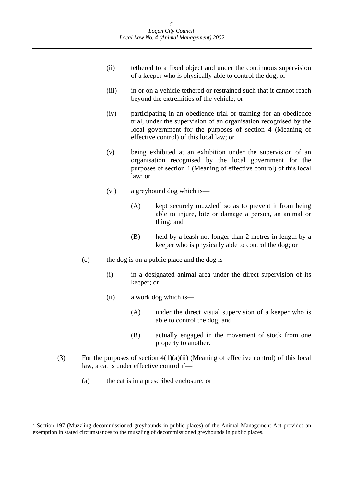- (ii) tethered to a fixed object and under the continuous supervision of a keeper who is physically able to control the dog; or
- (iii) in or on a vehicle tethered or restrained such that it cannot reach beyond the extremities of the vehicle; or
- (iv) participating in an obedience trial or training for an obedience trial, under the supervision of an organisation recognised by the local government for the purposes of section 4 (Meaning of effective control) of this local law; or
- (v) being exhibited at an exhibition under the supervision of an organisation recognised by the local government for the purposes of section 4 (Meaning of effective control) of this local law; or
- (vi) a greyhound dog which is—
	- (A) kept securely muzzled<sup>2</sup> so as to prevent it from being able to injure, bite or damage a person, an animal or thing; and
	- (B) held by a leash not longer than 2 metres in length by a keeper who is physically able to control the dog; or
- (c) the dog is on a public place and the dog is—
	- (i) in a designated animal area under the direct supervision of its keeper; or
	- (ii) a work dog which is—
		- (A) under the direct visual supervision of a keeper who is able to control the dog; and
		- (B) actually engaged in the movement of stock from one property to another.
- (3) For the purposes of section  $4(1)(a)(ii)$  (Meaning of effective control) of this local law, a cat is under effective control if—
	- (a) the cat is in a prescribed enclosure; or

<sup>&</sup>lt;sup>2</sup> Section 197 (Muzzling decommissioned greyhounds in public places) of the Animal Management Act provides an exemption in stated circumstances to the muzzling of decommissioned greyhounds in public places.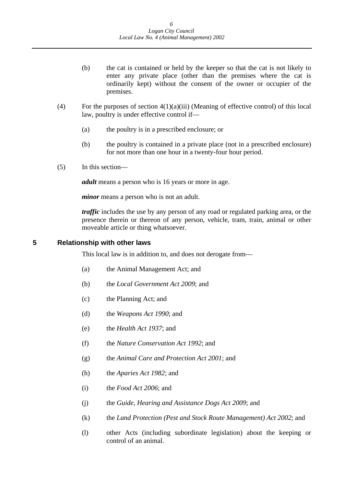- <span id="page-6-0"></span>(b) the cat is contained or held by the keeper so that the cat is not likely to enter any private place (other than the premises where the cat is ordinarily kept) without the consent of the owner or occupier of the premises.
- (4) For the purposes of section  $4(1)(a)(iii)$  (Meaning of effective control) of this local law, poultry is under effective control if—
	- (a) the poultry is in a prescribed enclosure; or
	- (b) the poultry is contained in a private place (not in a prescribed enclosure) for not more than one hour in a twenty-four hour period.
- (5) In this section—

*adult* means a person who is 16 years or more in age.

*minor* means a person who is not an adult.

*traffic* includes the use by any person of any road or regulated parking area, or the presence therein or thereon of any person, vehicle, tram, train, animal or other moveable article or thing whatsoever.

**5 Relationship with other laws** 

This local law is in addition to, and does not derogate from—

- (a) the Animal Management Act; and
- (b) the *Local Government Act 2009*; and
- (c) the Planning Act; and
- (d) the *Weapons Act 1990*; and
- (e) the *Health Act 1937*; and
- (f) the *Nature Conservation Act 1992*; and
- (g) the *Animal Care and Protection Act 2001*; and
- (h) the *Aparies Act 1982*; and
- (i) the *Food Act 2006*; and
- (j) the *Guide, Hearing and Assistance Dogs Act 2009*; and
- (k) the *Land Protection (Pest and Stock Route Management) Act 2002*; and
- (l) other Acts (including subordinate legislation) about the keeping or control of an animal.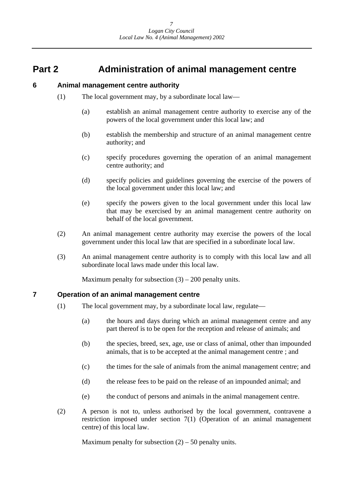## <span id="page-7-0"></span>**Part 2 Administration of animal management centre**

## **6 Animal management centre authority**

- (1) The local government may, by a subordinate local law—
	- (a) establish an animal management centre authority to exercise any of the powers of the local government under this local law; and
	- (b) establish the membership and structure of an animal management centre authority; and
	- (c) specify procedures governing the operation of an animal management centre authority; and
	- (d) specify policies and guidelines governing the exercise of the powers of the local government under this local law; and
	- (e) specify the powers given to the local government under this local law that may be exercised by an animal management centre authority on behalf of the local government.
- (2) An animal management centre authority may exercise the powers of the local government under this local law that are specified in a subordinate local law.
- (3) An animal management centre authority is to comply with this local law and all subordinate local laws made under this local law.

Maximum penalty for subsection  $(3) - 200$  penalty units.

## **7 Operation of an animal management centre**

- (1) The local government may, by a subordinate local law, regulate—
	- (a) the hours and days during which an animal management centre and any part thereof is to be open for the reception and release of animals; and
	- (b) the species, breed, sex, age, use or class of animal, other than impounded animals, that is to be accepted at the animal management centre ; and
	- (c) the times for the sale of animals from the animal management centre; and
	- (d) the release fees to be paid on the release of an impounded animal; and
	- (e) the conduct of persons and animals in the animal management centre.
- (2) A person is not to, unless authorised by the local government, contravene a restriction imposed under section 7(1) (Operation of an animal management centre) of this local law.

Maximum penalty for subsection  $(2) - 50$  penalty units.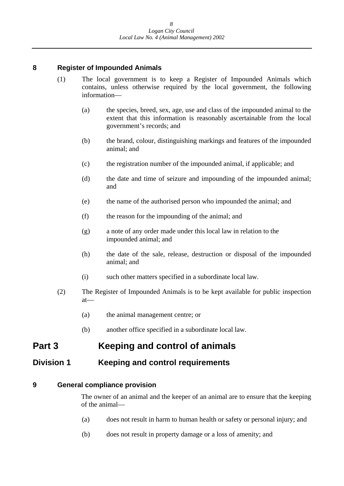## <span id="page-8-0"></span>**8 Register of Impounded Animals**

- (1) The local government is to keep a Register of Impounded Animals which contains, unless otherwise required by the local government, the following information—
	- (a) the species, breed, sex, age, use and class of the impounded animal to the extent that this information is reasonably ascertainable from the local government's records; and
	- (b) the brand, colour, distinguishing markings and features of the impounded animal; and
	- (c) the registration number of the impounded animal, if applicable; and
	- (d) the date and time of seizure and impounding of the impounded animal; and
	- (e) the name of the authorised person who impounded the animal; and
	- (f) the reason for the impounding of the animal; and
	- (g) a note of any order made under this local law in relation to the impounded animal; and
	- (h) the date of the sale, release, destruction or disposal of the impounded animal; and
	- (i) such other matters specified in a subordinate local law.
- (2) The Register of Impounded Animals is to be kept available for public inspection at—
	- (a) the animal management centre; or
	- (b) another office specified in a subordinate local law.

## **Part 3 Keeping and control of animals**

## **Division 1 Keeping and control requirements**

## **9 General compliance provision**

The owner of an animal and the keeper of an animal are to ensure that the keeping of the animal—

- (a) does not result in harm to human health or safety or personal injury; and
- (b) does not result in property damage or a loss of amenity; and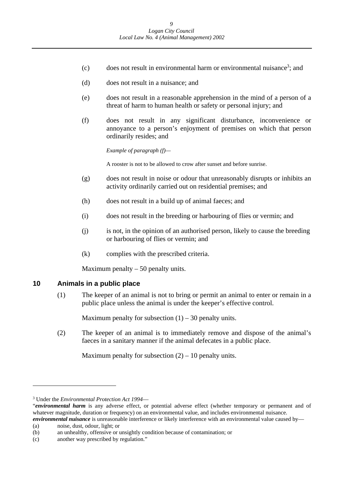- <span id="page-9-0"></span> $(c)$  does not result in environmental harm or environmental nuisance<sup>3</sup>; and
- (d) does not result in a nuisance; and
- (e) does not result in a reasonable apprehension in the mind of a person of a threat of harm to human health or safety or personal injury; and
- (f) does not result in any significant disturbance, inconvenience or annoyance to a person's enjoyment of premises on which that person ordinarily resides; and

 *Example of paragraph (f)—*

A rooster is not to be allowed to crow after sunset and before sunrise.

- (g) does not result in noise or odour that unreasonably disrupts or inhibits an activity ordinarily carried out on residential premises; and
- (h) does not result in a build up of animal faeces; and
- (i) does not result in the breeding or harbouring of flies or vermin; and
- (j) is not, in the opinion of an authorised person, likely to cause the breeding or harbouring of flies or vermin; and
- (k) complies with the prescribed criteria.

Maximum penalty  $-50$  penalty units.

#### **10 Animals in a public place**

(1) The keeper of an animal is not to bring or permit an animal to enter or remain in a public place unless the animal is under the keeper's effective control.

Maximum penalty for subsection  $(1) - 30$  penalty units.

(2) The keeper of an animal is to immediately remove and dispose of the animal's faeces in a sanitary manner if the animal defecates in a public place.

Maximum penalty for subsection  $(2) - 10$  penalty units.

<sup>3</sup> Under the *Environmental Protection Act 1994*—

<sup>&</sup>quot;*environmental harm* is any adverse effect, or potential adverse effect (whether temporary or permanent and of whatever magnitude, duration or frequency) on an environmental value, and includes environmental nuisance. *environmental nuisance* is unreasonable interference or likely interference with an environmental value caused by—

 (a) noise, dust, odour, light; or

<sup>(</sup>b) an unhealthy, offensive or unsightly condition because of contamination; or

 (c) another way prescribed by regulation."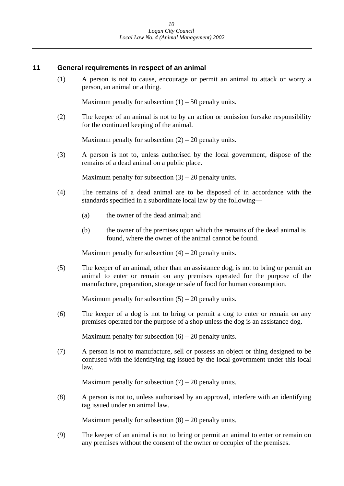### <span id="page-10-0"></span>**11 General requirements in respect of an animal**

(1) A person is not to cause, encourage or permit an animal to attack or worry a person, an animal or a thing.

Maximum penalty for subsection  $(1) - 50$  penalty units.

(2) The keeper of an animal is not to by an action or omission forsake responsibility for the continued keeping of the animal.

Maximum penalty for subsection  $(2) - 20$  penalty units.

(3) A person is not to, unless authorised by the local government, dispose of the remains of a dead animal on a public place.

Maximum penalty for subsection  $(3) - 20$  penalty units.

- (4) The remains of a dead animal are to be disposed of in accordance with the standards specified in a subordinate local law by the following—
	- (a) the owner of the dead animal; and
	- (b) the owner of the premises upon which the remains of the dead animal is found, where the owner of the animal cannot be found.

Maximum penalty for subsection  $(4) - 20$  penalty units.

(5) The keeper of an animal, other than an assistance dog, is not to bring or permit an animal to enter or remain on any premises operated for the purpose of the manufacture, preparation, storage or sale of food for human consumption.

Maximum penalty for subsection  $(5) - 20$  penalty units.

(6) The keeper of a dog is not to bring or permit a dog to enter or remain on any premises operated for the purpose of a shop unless the dog is an assistance dog.

Maximum penalty for subsection  $(6) - 20$  penalty units.

(7) A person is not to manufacture, sell or possess an object or thing designed to be confused with the identifying tag issued by the local government under this local law.

Maximum penalty for subsection  $(7) - 20$  penalty units.

(8) A person is not to, unless authorised by an approval, interfere with an identifying tag issued under an animal law.

Maximum penalty for subsection  $(8) - 20$  penalty units.

(9) The keeper of an animal is not to bring or permit an animal to enter or remain on any premises without the consent of the owner or occupier of the premises.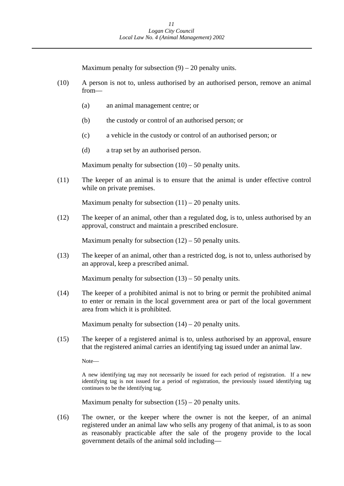Maximum penalty for subsection  $(9) - 20$  penalty units.

- (10) A person is not to, unless authorised by an authorised person, remove an animal from—
	- (a) an animal management centre; or
	- (b) the custody or control of an authorised person; or
	- (c) a vehicle in the custody or control of an authorised person; or
	- (d) a trap set by an authorised person.

Maximum penalty for subsection  $(10) - 50$  penalty units.

(11) The keeper of an animal is to ensure that the animal is under effective control while on private premises.

Maximum penalty for subsection  $(11) - 20$  penalty units.

(12) The keeper of an animal, other than a regulated dog, is to, unless authorised by an approval, construct and maintain a prescribed enclosure.

Maximum penalty for subsection  $(12) - 50$  penalty units.

(13) The keeper of an animal, other than a restricted dog, is not to, unless authorised by an approval, keep a prescribed animal.

Maximum penalty for subsection  $(13) - 50$  penalty units.

(14) The keeper of a prohibited animal is not to bring or permit the prohibited animal to enter or remain in the local government area or part of the local government area from which it is prohibited.

Maximum penalty for subsection  $(14) - 20$  penalty units.

(15) The keeper of a registered animal is to, unless authorised by an approval, ensure that the registered animal carries an identifying tag issued under an animal law.

Note—

 identifying tag is not issued for a period of registration, the previously issued identifying tag A new identifying tag may not necessarily be issued for each period of registration. If a new continues to be the identifying tag*.* 

Maximum penalty for subsection  $(15) - 20$  penalty units.

(16) The owner, or the keeper where the owner is not the keeper, of an animal registered under an animal law who sells any progeny of that animal, is to as soon as reasonably practicable after the sale of the progeny provide to the local government details of the animal sold including—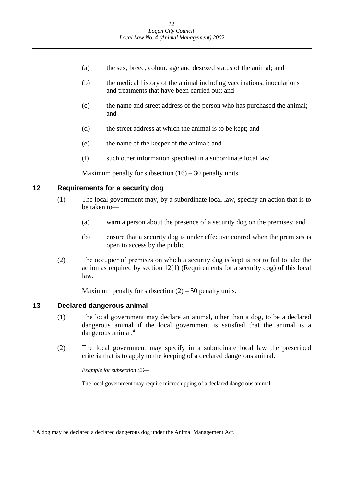- <span id="page-12-0"></span>(a) the sex, breed, colour, age and desexed status of the animal; and
- (b) the medical history of the animal including vaccinations, inoculations and treatments that have been carried out; and
- (c) the name and street address of the person who has purchased the animal; and
- (d) the street address at which the animal is to be kept; and
- (e) the name of the keeper of the animal; and
- (f) such other information specified in a subordinate local law.

Maximum penalty for subsection  $(16) - 30$  penalty units.

## **12 Requirements for a security dog**

- (1) The local government may, by a subordinate local law, specify an action that is to be taken to—
	- (a) warn a person about the presence of a security dog on the premises; and
	- (b) ensure that a security dog is under effective control when the premises is open to access by the public.
- (2) The occupier of premises on which a security dog is kept is not to fail to take the action as required by section 12(1) (Requirements for a security dog) of this local law.

Maximum penalty for subsection  $(2)$  – 50 penalty units.

## **13 Declared dangerous animal**

 $\overline{a}$ 

- (1) The local government may declare an animal, other than a dog, to be a declared dangerous animal if the local government is satisfied that the animal is a dangerous animal.<sup>4</sup>
- (2) The local government may specify in a subordinate local law the prescribed criteria that is to apply to the keeping of a declared dangerous animal.

 *Example for subsection (2)—* 

The local government may require microchipping of a declared dangerous animal.

<sup>&</sup>lt;sup>4</sup> A dog may be declared a declared dangerous dog under the Animal Management Act.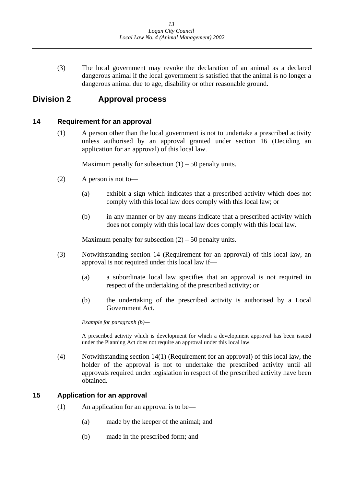<span id="page-13-0"></span>(3) The local government may revoke the declaration of an animal as a declared dangerous animal if the local government is satisfied that the animal is no longer a dangerous animal due to age, disability or other reasonable ground.

## **Division 2 Approval process**

## **14 Requirement for an approval**

(1) A person other than the local government is not to undertake a prescribed activity unless authorised by an approval granted under section 16 (Deciding an application for an approval) of this local law.

Maximum penalty for subsection  $(1) - 50$  penalty units.

- (2) A person is not to—
	- (a) exhibit a sign which indicates that a prescribed activity which does not comply with this local law does comply with this local law; or
	- (b) in any manner or by any means indicate that a prescribed activity which does not comply with this local law does comply with this local law.

Maximum penalty for subsection  $(2) - 50$  penalty units.

- (3) Notwithstanding section 14 (Requirement for an approval) of this local law, an approval is not required under this local law if—
	- (a) a subordinate local law specifies that an approval is not required in respect of the undertaking of the prescribed activity; or
	- (b) the undertaking of the prescribed activity is authorised by a Local Government Act.

 *Example for paragraph (b)—* 

 under the Planning Act does not require an approval under this local law. A prescribed activity which is development for which a development approval has been issued

(4) Notwithstanding section 14(1) (Requirement for an approval) of this local law, the holder of the approval is not to undertake the prescribed activity until all approvals required under legislation in respect of the prescribed activity have been obtained.

## **15 Application for an approval**

- (1) An application for an approval is to be—
	- (a) made by the keeper of the animal; and
	- (b) made in the prescribed form; and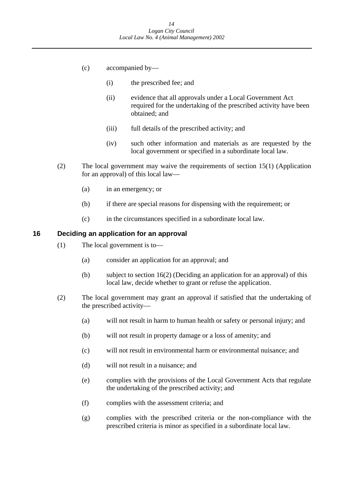- <span id="page-14-0"></span>(c) accompanied by—
	- (i) the prescribed fee; and
	- (ii) evidence that all approvals under a Local Government Act required for the undertaking of the prescribed activity have been obtained; and
	- (iii) full details of the prescribed activity; and
	- (iv) such other information and materials as are requested by the local government or specified in a subordinate local law.
- (2) The local government may waive the requirements of section 15(1) (Application for an approval) of this local law—
	- (a) in an emergency; or
	- (b) if there are special reasons for dispensing with the requirement; or
	- (c) in the circumstances specified in a subordinate local law.

#### **16 Deciding an application for an approval**

- (1) The local government is to—
	- (a) consider an application for an approval; and
	- (b) subject to section 16(2) (Deciding an application for an approval) of this local law, decide whether to grant or refuse the application.
- (2) The local government may grant an approval if satisfied that the undertaking of the prescribed activity—
	- (a) will not result in harm to human health or safety or personal injury; and
	- (b) will not result in property damage or a loss of amenity; and
	- (c) will not result in environmental harm or environmental nuisance; and
	- (d) will not result in a nuisance; and
	- (e) complies with the provisions of the Local Government Acts that regulate the undertaking of the prescribed activity; and
	- (f) complies with the assessment criteria; and
	- (g) complies with the prescribed criteria or the non-compliance with the prescribed criteria is minor as specified in a subordinate local law.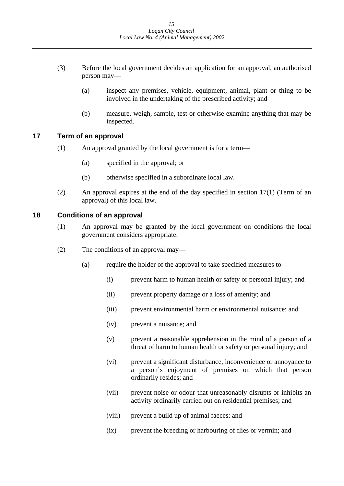- <span id="page-15-0"></span>(3) Before the local government decides an application for an approval, an authorised person may—
	- (a) inspect any premises, vehicle, equipment, animal, plant or thing to be involved in the undertaking of the prescribed activity; and
	- (b) measure, weigh, sample, test or otherwise examine anything that may be inspected.

## **17 Term of an approval**

- (1) An approval granted by the local government is for a term—
	- (a) specified in the approval; or
	- (b) otherwise specified in a subordinate local law.
- (2) An approval expires at the end of the day specified in section 17(1) (Term of an approval) of this local law.

## **18 Conditions of an approval**

- (1) An approval may be granted by the local government on conditions the local government considers appropriate.
- (2) The conditions of an approval may—
	- (a) require the holder of the approval to take specified measures to—
		- (i) prevent harm to human health or safety or personal injury; and
		- (ii) prevent property damage or a loss of amenity; and
		- (iii) prevent environmental harm or environmental nuisance; and
		- (iv) prevent a nuisance; and
		- (v) prevent a reasonable apprehension in the mind of a person of a threat of harm to human health or safety or personal injury; and
		- (vi) prevent a significant disturbance, inconvenience or annoyance to a person's enjoyment of premises on which that person ordinarily resides; and
		- (vii) prevent noise or odour that unreasonably disrupts or inhibits an activity ordinarily carried out on residential premises; and
		- (viii) prevent a build up of animal faeces; and
		- (ix) prevent the breeding or harbouring of flies or vermin; and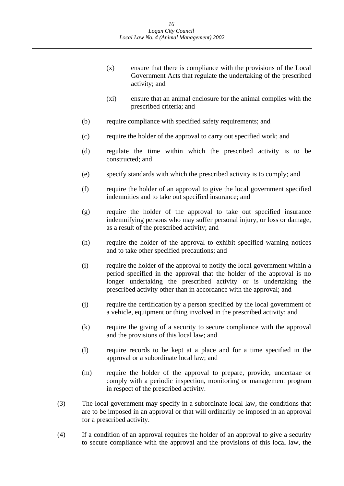- (x) ensure that there is compliance with the provisions of the Local Government Acts that regulate the undertaking of the prescribed activity; and
- (xi) ensure that an animal enclosure for the animal complies with the prescribed criteria; and
- (b) require compliance with specified safety requirements; and
- (c) require the holder of the approval to carry out specified work; and
- (d) regulate the time within which the prescribed activity is to be constructed; and
- (e) specify standards with which the prescribed activity is to comply; and
- (f) require the holder of an approval to give the local government specified indemnities and to take out specified insurance; and
- (g) require the holder of the approval to take out specified insurance indemnifying persons who may suffer personal injury, or loss or damage, as a result of the prescribed activity; and
- (h) require the holder of the approval to exhibit specified warning notices and to take other specified precautions; and
- (i) require the holder of the approval to notify the local government within a period specified in the approval that the holder of the approval is no longer undertaking the prescribed activity or is undertaking the prescribed activity other than in accordance with the approval; and
- (j) require the certification by a person specified by the local government of a vehicle, equipment or thing involved in the prescribed activity; and
- (k) require the giving of a security to secure compliance with the approval and the provisions of this local law; and
- (l) require records to be kept at a place and for a time specified in the approval or a subordinate local law; and
- (m) require the holder of the approval to prepare, provide, undertake or comply with a periodic inspection, monitoring or management program in respect of the prescribed activity.
- (3) The local government may specify in a subordinate local law, the conditions that are to be imposed in an approval or that will ordinarily be imposed in an approval for a prescribed activity.
- (4) If a condition of an approval requires the holder of an approval to give a security to secure compliance with the approval and the provisions of this local law, the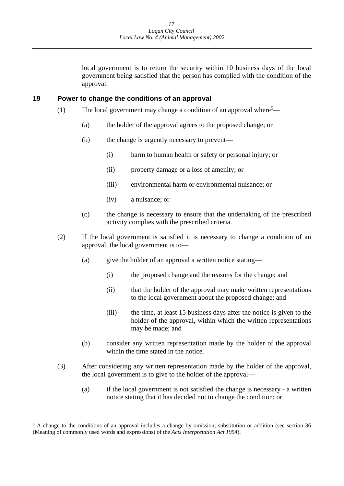local government is to return the security within 10 business days of the local government being satisfied that the person has complied with the condition of the approval.

#### <span id="page-17-0"></span>**19 Power to change the conditions of an approval**

- (1) The local government may change a condition of an approval where<sup>5</sup>—
	- (a) the holder of the approval agrees to the proposed change; or
	- (b) the change is urgently necessary to prevent—
		- (i) harm to human health or safety or personal injury; or
		- (ii) property damage or a loss of amenity; or
		- (iii) environmental harm or environmental nuisance; or
		- (iv) a nuisance; or
	- (c) the change is necessary to ensure that the undertaking of the prescribed activity complies with the prescribed criteria.
- (2) If the local government is satisfied it is necessary to change a condition of an approval, the local government is to—
	- (a) give the holder of an approval a written notice stating—
		- (i) the proposed change and the reasons for the change; and
		- (ii) that the holder of the approval may make written representations to the local government about the proposed change; and
		- (iii) the time, at least 15 business days after the notice is given to the holder of the approval, within which the written representations may be made; and
	- (b) consider any written representation made by the holder of the approval within the time stated in the notice.
- (3) After considering any written representation made by the holder of the approval, the local government is to give to the holder of the approval—
	- (a) if the local government is not satisfied the change is necessary a written notice stating that it has decided not to change the condition; or

<sup>&</sup>lt;sup>5</sup> A change to the conditions of an approval includes a change by omission, substitution or addition (see section 36 (Meaning of commonly used words and expressions) of the *Acts Interpretation Act 1954*).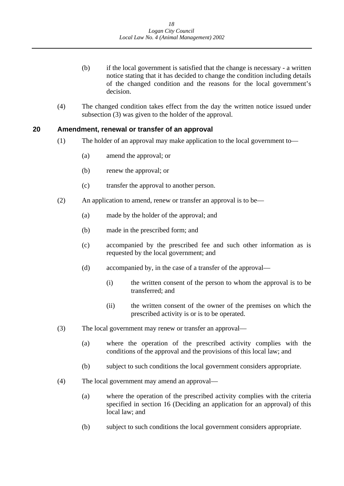- <span id="page-18-0"></span>(b) if the local government is satisfied that the change is necessary - a written notice stating that it has decided to change the condition including details of the changed condition and the reasons for the local government's decision.
- (4) The changed condition takes effect from the day the written notice issued under subsection (3) was given to the holder of the approval.

#### **20 Amendment, renewal or transfer of an approval**

- (1) The holder of an approval may make application to the local government to—
	- (a) amend the approval; or
	- (b) renew the approval; or
	- (c) transfer the approval to another person.
- (2) An application to amend, renew or transfer an approval is to be—
	- (a) made by the holder of the approval; and
	- (b) made in the prescribed form; and
	- (c) accompanied by the prescribed fee and such other information as is requested by the local government; and
	- (d) accompanied by, in the case of a transfer of the approval—
		- (i) the written consent of the person to whom the approval is to be transferred; and
		- (ii) the written consent of the owner of the premises on which the prescribed activity is or is to be operated.
- (3) The local government may renew or transfer an approval—
	- (a) where the operation of the prescribed activity complies with the conditions of the approval and the provisions of this local law; and
	- (b) subject to such conditions the local government considers appropriate.
- (4) The local government may amend an approval—
	- (a) where the operation of the prescribed activity complies with the criteria specified in section 16 (Deciding an application for an approval) of this local law; and
	- (b) subject to such conditions the local government considers appropriate.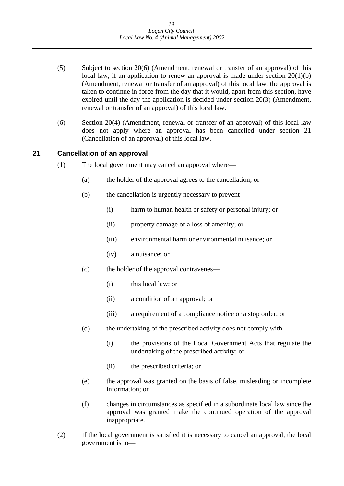- <span id="page-19-0"></span>(5) Subject to section 20(6) (Amendment, renewal or transfer of an approval) of this local law, if an application to renew an approval is made under section  $20(1)(b)$ (Amendment, renewal or transfer of an approval) of this local law, the approval is taken to continue in force from the day that it would, apart from this section, have expired until the day the application is decided under section 20(3) (Amendment, renewal or transfer of an approval) of this local law.
- (6) Section 20(4) (Amendment, renewal or transfer of an approval) of this local law does not apply where an approval has been cancelled under section 21 (Cancellation of an approval) of this local law.

### **21 Cancellation of an approval**

- (1) The local government may cancel an approval where—
	- (a) the holder of the approval agrees to the cancellation; or
	- (b) the cancellation is urgently necessary to prevent—
		- (i) harm to human health or safety or personal injury; or
		- (ii) property damage or a loss of amenity; or
		- (iii) environmental harm or environmental nuisance; or
		- (iv) a nuisance; or
	- (c) the holder of the approval contravenes—
		- (i) this local law; or
		- (ii) a condition of an approval; or
		- (iii) a requirement of a compliance notice or a stop order; or
	- (d) the undertaking of the prescribed activity does not comply with—
		- (i) the provisions of the Local Government Acts that regulate the undertaking of the prescribed activity; or
		- (ii) the prescribed criteria; or
	- (e) the approval was granted on the basis of false, misleading or incomplete information; or
	- (f) changes in circumstances as specified in a subordinate local law since the approval was granted make the continued operation of the approval inappropriate.
- (2) If the local government is satisfied it is necessary to cancel an approval, the local government is to—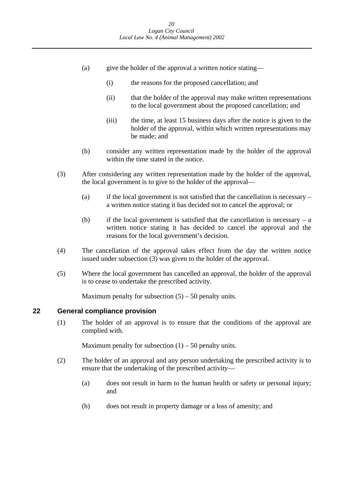- <span id="page-20-0"></span>(a) give the holder of the approval a written notice stating—
	- (i) the reasons for the proposed cancellation; and
	- (ii) that the holder of the approval may make written representations to the local government about the proposed cancellation; and
	- (iii) the time, at least 15 business days after the notice is given to the holder of the approval, within which written representations may be made; and
- (b) consider any written representation made by the holder of the approval within the time stated in the notice.
- (3) After considering any written representation made by the holder of the approval, the local government is to give to the holder of the approval
	- a written notice stating it has decided not to cancel the approval; or (a) if the local government is not satisfied that the cancellation is necessary –
	- (b) if the local government is satisfied that the cancellation is necessary a written notice stating it has decided to cancel the approval and the reasons for the local government's decision.
- (4) The cancellation of the approval takes effect from the day the written notice issued under subsection (3) was given to the holder of the approval.
- (5) Where the local government has cancelled an approval, the holder of the approval is to cease to undertake the prescribed activity.

Maximum penalty for subsection  $(5) - 50$  penalty units.

#### **22 General compliance provision**

(1) The holder of an approval is to ensure that the conditions of the approval are complied with.

Maximum penalty for subsection  $(1) - 50$  penalty units.

- (2) The holder of an approval and any person undertaking the prescribed activity is to ensure that the undertaking of the prescribed activity—
	- (a) does not result in harm to the human health or safety or personal injury; and
	- (b) does not result in property damage or a loss of amenity; and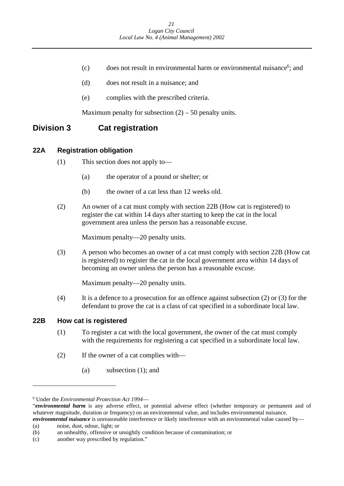- <span id="page-21-0"></span>(c) does not result in environmental harm or environmental nuisance<sup>6</sup>; and
- (d) does not result in a nuisance; and
- (e) complies with the prescribed criteria.

Maximum penalty for subsection  $(2)$  – 50 penalty units.

## **Division 3 Cat registration**

## **22A Registration obligation**

- (1) This section does not apply to—
	- (a) the operator of a pound or shelter; or
	- (b) the owner of a cat less than 12 weeks old.
- (2) An owner of a cat must comply with section 22B (How cat is registered) to register the cat within 14 days after starting to keep the cat in the local government area unless the person has a reasonable excuse.

Maximum penalty—20 penalty units.

(3) A person who becomes an owner of a cat must comply with section 22B (How cat is registered) to register the cat in the local government area within 14 days of becoming an owner unless the person has a reasonable excuse.

Maximum penalty—20 penalty units.

(4) It is a defence to a prosecution for an offence against subsection (2) or (3) for the defendant to prove the cat is a class of cat specified in a subordinate local law.

## **22B How cat is registered**

- (1) To register a cat with the local government, the owner of the cat must comply with the requirements for registering a cat specified in a subordinate local law.
- (2) If the owner of a cat complies with—
	- (a) subsection (1); and

<sup>6</sup> Under the *Environmental Protection Act 1994*—

<sup>&</sup>quot;*environmental harm* is any adverse effect, or potential adverse effect (whether temporary or permanent and of whatever magnitude, duration or frequency) on an environmental value, and includes environmental nuisance. *environmental nuisance* is unreasonable interference or likely interference with an environmental value caused by—

 (a) noise, dust, odour, light; or

<sup>(</sup>b) an unhealthy, offensive or unsightly condition because of contamination; or

 (c) another way prescribed by regulation."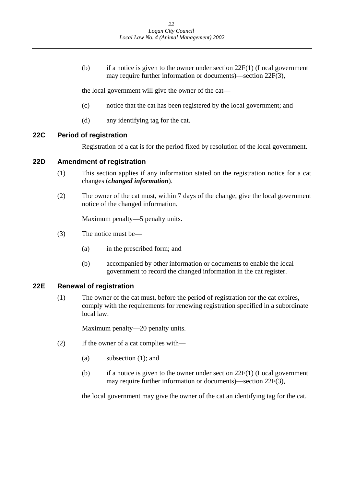<span id="page-22-0"></span>(b) if a notice is given to the owner under section  $22F(1)$  (Local government may require further information or documents)—section 22F(3),

the local government will give the owner of the cat—

- (c) notice that the cat has been registered by the local government; and
- (d) any identifying tag for the cat.

### **22C Period of registration**

Registration of a cat is for the period fixed by resolution of the local government.

## **22D Amendment of registration**

- (1) This section applies if any information stated on the registration notice for a cat changes (*changed information*).
- (2) The owner of the cat must, within 7 days of the change, give the local government notice of the changed information.

Maximum penalty—5 penalty units.

- (3) The notice must be—
	- (a) in the prescribed form; and
	- (b) accompanied by other information or documents to enable the local government to record the changed information in the cat register.

### **22E Renewal of registration**

(1) The owner of the cat must, before the period of registration for the cat expires, comply with the requirements for renewing registration specified in a subordinate local law.

Maximum penalty—20 penalty units.

- (2) If the owner of a cat complies with—
	- (a) subsection (1); and
	- (b) if a notice is given to the owner under section  $22F(1)$  (Local government may require further information or documents)—section 22F(3),

the local government may give the owner of the cat an identifying tag for the cat.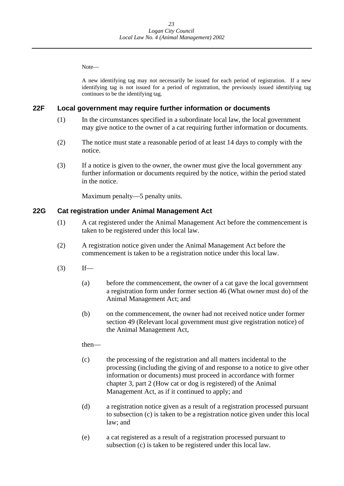<span id="page-23-0"></span>Note—

 identifying tag is not issued for a period of registration, the previously issued identifying tag A new identifying tag may not necessarily be issued for each period of registration. If a new continues to be the identifying tag*.* 

## **22F Local government may require further information or documents**

- (1) In the circumstances specified in a subordinate local law, the local government may give notice to the owner of a cat requiring further information or documents.
- (2) The notice must state a reasonable period of at least 14 days to comply with the notice.
- in the notice. (3) If a notice is given to the owner, the owner must give the local government any further information or documents required by the notice, within the period stated

Maximum penalty—5 penalty units.

### **22G Cat registration under Animal Management Act**

- (1) A cat registered under the Animal Management Act before the commencement is taken to be registered under this local law.
- (2) A registration notice given under the Animal Management Act before the commencement is taken to be a registration notice under this local law.
- $(3)$  If—
	- (a) before the commencement, the owner of a cat gave the local government a registration form under former section 46 (What owner must do) of the Animal Management Act; and
	- (b) on the commencement, the owner had not received notice under former section 49 (Relevant local government must give registration notice) of the Animal Management Act,

then—

- (c) the processing of the registration and all matters incidental to the processing (including the giving of and response to a notice to give other information or documents) must proceed in accordance with former chapter 3, part 2 (How cat or dog is registered) of the Animal Management Act, as if it continued to apply; and
- (d) a registration notice given as a result of a registration processed pursuant to subsection (c) is taken to be a registration notice given under this local law; and
- (e) a cat registered as a result of a registration processed pursuant to subsection (c) is taken to be registered under this local law.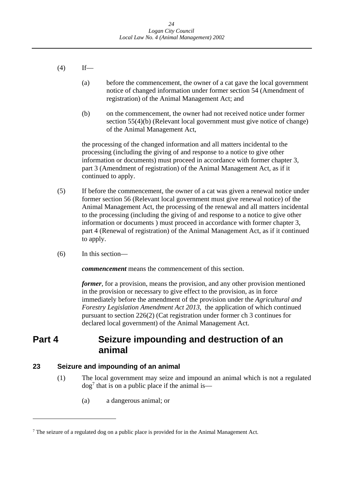- $(4)$  If—
	- (a) before the commencement, the owner of a cat gave the local government notice of changed information under former section 54 (Amendment of registration) of the Animal Management Act; and
	- (b) on the commencement, the owner had not received notice under former section 55(4)(b) (Relevant local government must give notice of change) of the Animal Management Act,

the processing of the changed information and all matters incidental to the processing (including the giving of and response to a notice to give other information or documents) must proceed in accordance with former chapter 3, part 3 (Amendment of registration) of the Animal Management Act, as if it continued to apply.

- (5) If before the commencement, the owner of a cat was given a renewal notice under former section 56 (Relevant local government must give renewal notice) of the Animal Management Act, the processing of the renewal and all matters incidental to the processing (including the giving of and response to a notice to give other information or documents ) must proceed in accordance with former chapter 3, part 4 (Renewal of registration) of the Animal Management Act, as if it continued to apply.
- (6) In this section—

*commencement* means the commencement of this section.

*former*, for a provision, means the provision, and any other provision mentioned in the provision or necessary to give effect to the provision, as in force immediately before the amendment of the provision under the *Agricultural and Forestry Legislation Amendment Act 2013*, the application of which continued pursuant to section 226(2) (Cat registration under former ch 3 continues for declared local government) of the Animal Management Act.

## **Part 4 Seizure impounding and destruction of an animal**

#### **Seizure and impounding of an animal 23**

- (1) The local government may seize and impound an animal which is not a regulated  $\log^7$  that is on a public place if the animal is—
	- (a) a dangerous animal; or

 $7$  The seizure of a regulated dog on a public place is provided for in the Animal Management Act.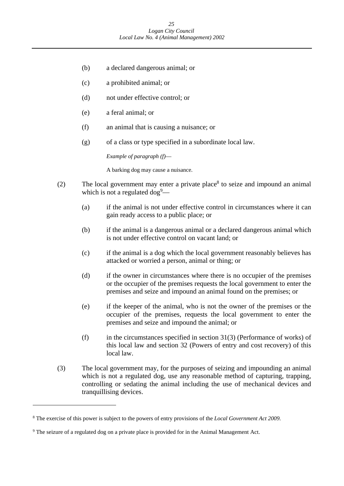- (b) a declared dangerous animal; or
- (c) a prohibited animal; or
- (d) not under effective control; or
- (e) a feral animal; or
- (f) an animal that is causing a nuisance; or
- (g) of a class or type specified in a subordinate local law.

*Example of paragraph (f)*—

A barking dog may cause a nuisance.

- (2) The local government may enter a private place<sup>8</sup> to seize and impound an animal which is not a regulated  $\log^9$ —
	- (a) if the animal is not under effective control in circumstances where it can gain ready access to a public place; or
	- (b) if the animal is a dangerous animal or a declared dangerous animal which is not under effective control on vacant land; or
	- (c) if the animal is a dog which the local government reasonably believes has attacked or worried a person, animal or thing; or
	- (d) if the owner in circumstances where there is no occupier of the premises or the occupier of the premises requests the local government to enter the premises and seize and impound an animal found on the premises; or
	- (e) if the keeper of the animal, who is not the owner of the premises or the occupier of the premises, requests the local government to enter the premises and seize and impound the animal; or
	- $(f)$  in the circumstances specified in section 31(3) (Performance of works) of this local law and section 32 (Powers of entry and cost recovery) of this local law.
- (3) The local government may, for the purposes of seizing and impounding an animal which is not a regulated dog, use any reasonable method of capturing, trapping, controlling or sedating the animal including the use of mechanical devices and tranquillising devices.

 8 The exercise of this power is subject to the powers of entry provisions of the *Local Government Act 2009.* 

<sup>&</sup>lt;sup>9</sup> The seizure of a regulated dog on a private place is provided for in the Animal Management Act.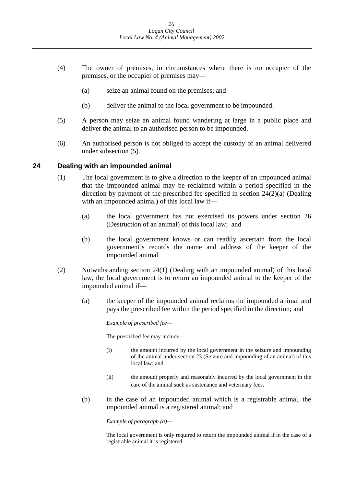- <span id="page-26-0"></span>(4) The owner of premises, in circumstances where there is no occupier of the premises, or the occupier of premises may—
	- (a) seize an animal found on the premises; and
	- (b) deliver the animal to the local government to be impounded.
- (5) A person may seize an animal found wandering at large in a public place and deliver the animal to an authorised person to be impounded.
- (6) An authorised person is not obliged to accept the custody of an animal delivered under subsection (5).

#### **24 Dealing with an impounded animal**

- (1) The local government is to give a direction to the keeper of an impounded animal that the impounded animal may be reclaimed within a period specified in the direction by payment of the prescribed fee specified in section 24(2)(a) (Dealing with an impounded animal) of this local law if—
	- (a) the local government has not exercised its powers under section 26 (Destruction of an animal) of this local law; and
	- (b) the local government knows or can readily ascertain from the local government's records the name and address of the keeper of the impounded animal.
- (2) Notwithstanding section 24(1) (Dealing with an impounded animal) of this local law, the local government is to return an impounded animal to the keeper of the impounded animal if—
	- (a) the keeper of the impounded animal reclaims the impounded animal and pays the prescribed fee within the period specified in the direction; and

*Example of prescribed fee—* 

The prescribed fee may include—

- (i) the amount incurred by the local government in the seizure and impounding of the animal under section 23 (Seizure and impounding of an animal) of this local law; and
- (ii) the amount properly and reasonably incurred by the local government in the care of the animal such as sustenance and veterinary fees.
- (b) in the case of an impounded animal which is a registrable animal, the impounded animal is a registered animal; and

 *Example of paragraph (a)—* 

The local government is only required to return the impounded animal if in the case of a registrable animal it is registered.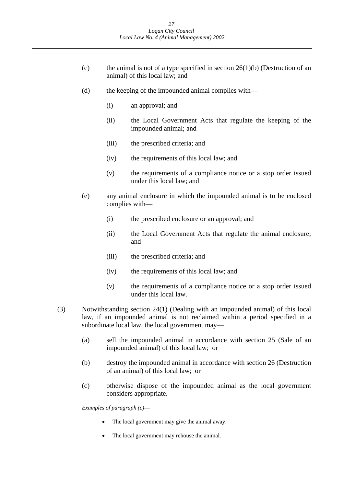- (c) the animal is not of a type specified in section  $26(1)(b)$  (Destruction of an animal) of this local law; and
- (d) the keeping of the impounded animal complies with—
	- (i) an approval; and
	- (ii) the Local Government Acts that regulate the keeping of the impounded animal; and
	- (iii) the prescribed criteria; and
	- (iv) the requirements of this local law; and
	- (v) the requirements of a compliance notice or a stop order issued under this local law; and
- (e) any animal enclosure in which the impounded animal is to be enclosed complies with—
	- (i) the prescribed enclosure or an approval; and
	- (ii) the Local Government Acts that regulate the animal enclosure; and
	- (iii) the prescribed criteria; and
	- (iv) the requirements of this local law; and
	- (v) the requirements of a compliance notice or a stop order issued under this local law.
- (3) Notwithstanding section 24(1) (Dealing with an impounded animal) of this local law, if an impounded animal is not reclaimed within a period specified in a subordinate local law, the local government may—
	- (a) sell the impounded animal in accordance with section 25 (Sale of an impounded animal) of this local law; or
	- (b) destroy the impounded animal in accordance with section 26 (Destruction of an animal) of this local law; or
	- (c) otherwise dispose of the impounded animal as the local government considers appropriate.

*Examples of paragraph (c)*—

- The local government may give the animal away.
- The local government may rehouse the animal.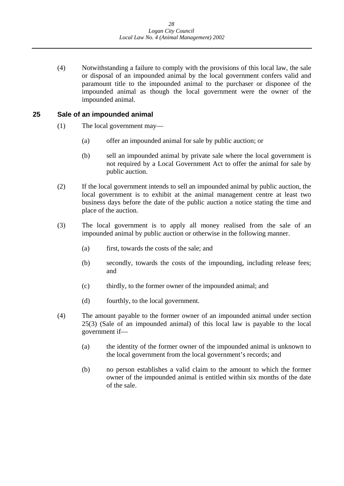<span id="page-28-0"></span>(4) Notwithstanding a failure to comply with the provisions of this local law, the sale or disposal of an impounded animal by the local government confers valid and paramount title to the impounded animal to the purchaser or disponee of the impounded animal as though the local government were the owner of the impounded animal.

### **25 Sale of an impounded animal**

- (1) The local government may—
	- (a) offer an impounded animal for sale by public auction; or
	- (b) sell an impounded animal by private sale where the local government is not required by a Local Government Act to offer the animal for sale by public auction.
- (2) If the local government intends to sell an impounded animal by public auction, the local government is to exhibit at the animal management centre at least two business days before the date of the public auction a notice stating the time and place of the auction.
- (3) The local government is to apply all money realised from the sale of an impounded animal by public auction or otherwise in the following manner.
	- (a) first, towards the costs of the sale; and
	- (b) secondly, towards the costs of the impounding, including release fees; and
	- (c) thirdly, to the former owner of the impounded animal; and
	- (d) fourthly, to the local government.
- (4) The amount payable to the former owner of an impounded animal under section 25(3) (Sale of an impounded animal) of this local law is payable to the local government if—
	- (a) the identity of the former owner of the impounded animal is unknown to the local government from the local government's records; and
	- (b) no person establishes a valid claim to the amount to which the former owner of the impounded animal is entitled within six months of the date of the sale.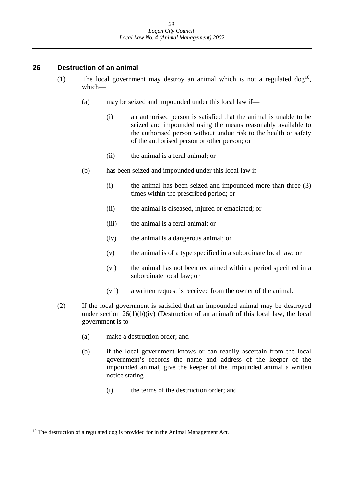### <span id="page-29-0"></span>**26 Destruction of an animal**

- (1) The local government may destroy an animal which is not a regulated  $\log^{10}$ . which—
	- (a) may be seized and impounded under this local law if—
		- (i) an authorised person is satisfied that the animal is unable to be seized and impounded using the means reasonably available to the authorised person without undue risk to the health or safety of the authorised person or other person; or
		- (ii) the animal is a feral animal; or
	- (b) has been seized and impounded under this local law if—
		- (i) the animal has been seized and impounded more than three (3) times within the prescribed period; or
		- (ii) the animal is diseased, injured or emaciated; or
		- (iii) the animal is a feral animal; or
		- (iv) the animal is a dangerous animal; or
		- (v) the animal is of a type specified in a subordinate local law; or
		- (vi) the animal has not been reclaimed within a period specified in a subordinate local law; or
		- (vii) a written request is received from the owner of the animal.
- (2) If the local government is satisfied that an impounded animal may be destroyed under section  $26(1)(b)(iv)$  (Destruction of an animal) of this local law, the local government is to—
	- (a) make a destruction order; and
	- (b) if the local government knows or can readily ascertain from the local government's records the name and address of the keeper of the impounded animal, give the keeper of the impounded animal a written notice stating—
		- (i) the terms of the destruction order; and

 $10$  The destruction of a regulated dog is provided for in the Animal Management Act.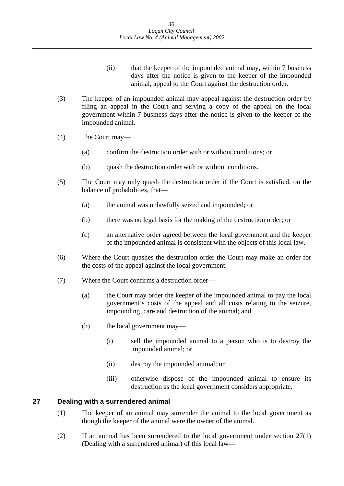- (ii) that the keeper of the impounded animal may, within 7 business days after the notice is given to the keeper of the impounded animal, appeal to the Court against the destruction order.
- <span id="page-30-0"></span>(3) The keeper of an impounded animal may appeal against the destruction order by filing an appeal in the Court and serving a copy of the appeal on the local government within 7 business days after the notice is given to the keeper of the impounded animal.
- (4) The Court may—
	- (a) confirm the destruction order with or without conditions; or
	- (b) quash the destruction order with or without conditions.
- (5) The Court may only quash the destruction order if the Court is satisfied, on the balance of probabilities, that—
	- (a) the animal was unlawfully seized and impounded; or
	- (b) there was no legal basis for the making of the destruction order; or
	- (c) an alternative order agreed between the local government and the keeper of the impounded animal is consistent with the objects of this local law.
- (6) Where the Court quashes the destruction order the Court may make an order for the costs of the appeal against the local government.
- (7) Where the Court confirms a destruction order—
	- (a) the Court may order the keeper of the impounded animal to pay the local government's costs of the appeal and all costs relating to the seizure, impounding, care and destruction of the animal; and
	- (b) the local government may—
		- (i) sell the impounded animal to a person who is to destroy the impounded animal; or
		- (ii) destroy the impounded animal; or
		- (iii) otherwise dispose of the impounded animal to ensure its destruction as the local government considers appropriate.

#### **Dealing with a surrendered animal 27**

- (1) The keeper of an animal may surrender the animal to the local government as though the keeper of the animal were the owner of the animal.
- (2) If an animal has been surrendered to the local government under section 27(1) (Dealing with a surrendered animal) of this local law—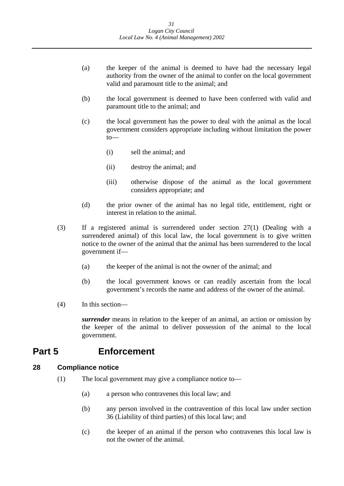- <span id="page-31-0"></span>(a) the keeper of the animal is deemed to have had the necessary legal authority from the owner of the animal to confer on the local government valid and paramount title to the animal; and
- (b) the local government is deemed to have been conferred with valid and paramount title to the animal; and
- (c) the local government has the power to deal with the animal as the local government considers appropriate including without limitation the power to—
	- (i) sell the animal; and
	- (ii) destroy the animal; and
	- (iii) otherwise dispose of the animal as the local government considers appropriate; and
- (d) the prior owner of the animal has no legal title, entitlement, right or interest in relation to the animal.
- (3) If a registered animal is surrendered under section 27(1) (Dealing with a surrendered animal) of this local law, the local government is to give written notice to the owner of the animal that the animal has been surrendered to the local government if—
	- (a) the keeper of the animal is not the owner of the animal; and
	- (b) the local government knows or can readily ascertain from the local government's records the name and address of the owner of the animal.
- (4) In this section—

*surrender* means in relation to the keeper of an animal, an action or omission by the keeper of the animal to deliver possession of the animal to the local government.

## **Part 5 Enforcement**

#### **Compliance notice 28**

- (1) The local government may give a compliance notice to—
	- (a) a person who contravenes this local law; and
	- (b) any person involved in the contravention of this local law under section 36 (Liability of third parties) of this local law; and
	- (c) the keeper of an animal if the person who contravenes this local law is not the owner of the animal.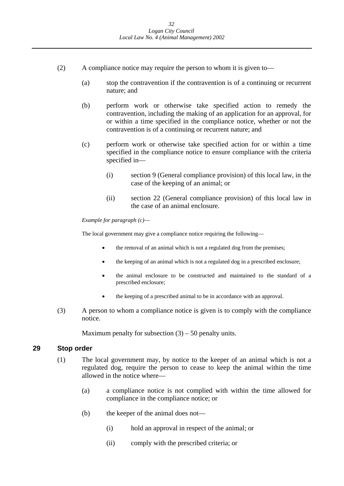- <span id="page-32-0"></span>(2) A compliance notice may require the person to whom it is given to—
	- (a) stop the contravention if the contravention is of a continuing or recurrent nature; and
	- (b) perform work or otherwise take specified action to remedy the contravention, including the making of an application for an approval, for or within a time specified in the compliance notice, whether or not the contravention is of a continuing or recurrent nature; and
	- (c) perform work or otherwise take specified action for or within a time specified in the compliance notice to ensure compliance with the criteria specified in—
		- (i) section 9 (General compliance provision) of this local law, in the case of the keeping of an animal; or
		- (ii) section 22 (General compliance provision) of this local law in the case of an animal enclosure.

### *Example for paragraph (c)*—

The local government may give a compliance notice requiring the following—

- the removal of an animal which is not a regulated dog from the premises;
- the keeping of an animal which is not a regulated dog in a prescribed enclosure;
- prescribed enclosure; the animal enclosure to be constructed and maintained to the standard of a
- the keeping of a prescribed animal to be in accordance with an approval.
- (3) A person to whom a compliance notice is given is to comply with the compliance notice.

Maximum penalty for subsection  $(3)$  – 50 penalty units.

#### **29 Stop order**

- (1) The local government may, by notice to the keeper of an animal which is not a regulated dog, require the person to cease to keep the animal within the time allowed in the notice where—
	- (a) a compliance notice is not complied with within the time allowed for compliance in the compliance notice; or
	- (b) the keeper of the animal does not—
		- (i) hold an approval in respect of the animal; or
		- (ii) comply with the prescribed criteria; or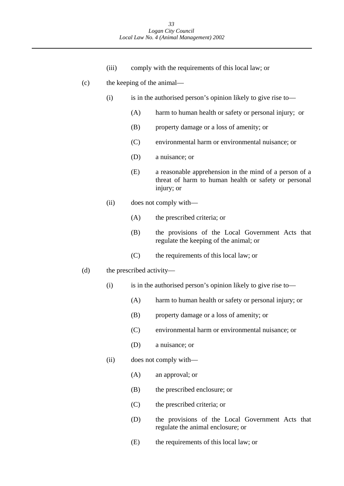(iii) comply with the requirements of this local law; or

### (c) the keeping of the animal—

- $(i)$  is in the authorised person's opinion likely to give rise to—
	- (A) harm to human health or safety or personal injury; or
	- (B) property damage or a loss of amenity; or
	- (C) environmental harm or environmental nuisance; or
	- (D) a nuisance; or
	- (E) a reasonable apprehension in the mind of a person of a threat of harm to human health or safety or personal injury; or
- (ii) does not comply with—
	- (A) the prescribed criteria; or
	- (B) the provisions of the Local Government Acts that regulate the keeping of the animal; or
	- (C) the requirements of this local law; or
- (d) the prescribed activity—
	- $(i)$  is in the authorised person's opinion likely to give rise to—
		- (A) harm to human health or safety or personal injury; or
		- (B) property damage or a loss of amenity; or
		- (C) environmental harm or environmental nuisance; or
		- (D) a nuisance; or
	- (ii) does not comply with—
		- (A) an approval; or
		- (B) the prescribed enclosure; or
		- (C) the prescribed criteria; or
		- (D) the provisions of the Local Government Acts that regulate the animal enclosure; or
		- (E) the requirements of this local law; or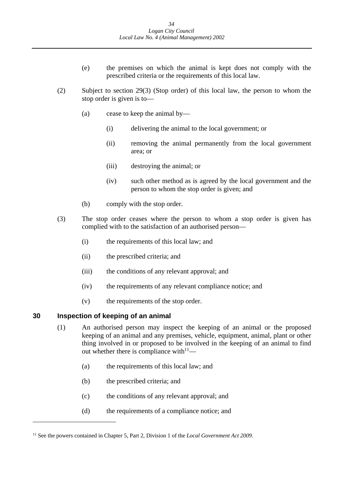- <span id="page-34-0"></span>(e) the premises on which the animal is kept does not comply with the prescribed criteria or the requirements of this local law.
- (2) Subject to section 29(3) (Stop order) of this local law, the person to whom the stop order is given is to—
	- (a) cease to keep the animal by—
		- (i) delivering the animal to the local government; or
		- (ii) removing the animal permanently from the local government area; or
		- (iii) destroying the animal; or
		- (iv) such other method as is agreed by the local government and the person to whom the stop order is given; and
	- (b) comply with the stop order.
- (3) The stop order ceases where the person to whom a stop order is given has complied with to the satisfaction of an authorised person—
	- (i) the requirements of this local law; and
	- (ii) the prescribed criteria; and
	- (iii) the conditions of any relevant approval; and
	- (iv) the requirements of any relevant compliance notice; and
	- (v) the requirements of the stop order.

#### **30 Inspection of keeping of an animal**

- (1) An authorised person may inspect the keeping of an animal or the proposed keeping of an animal and any premises, vehicle, equipment, animal, plant or other thing involved in or proposed to be involved in the keeping of an animal to find out whether there is compliance with $11$ —
	- (a) the requirements of this local law; and
	- (b) the prescribed criteria; and
	- (c) the conditions of any relevant approval; and
	- (d) the requirements of a compliance notice; and

<sup>11</sup> See the powers contained in Chapter 5, Part 2, Division 1 of the *Local Government Act 2009*.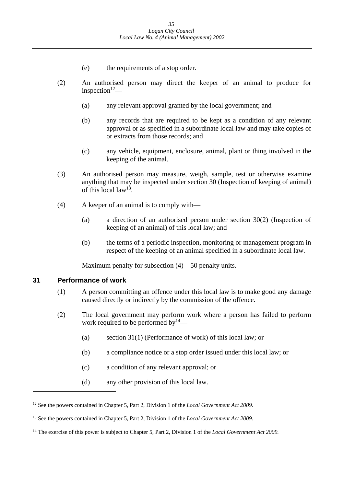- (e) the requirements of a stop order.
- <span id="page-35-0"></span>(2) An authorised person may direct the keeper of an animal to produce for inspection $12$ —
	- (a) any relevant approval granted by the local government; and
	- (b) any records that are required to be kept as a condition of any relevant approval or as specified in a subordinate local law and may take copies of or extracts from those records; and
	- (c) any vehicle, equipment, enclosure, animal, plant or thing involved in the keeping of the animal.
- (3) An authorised person may measure, weigh, sample, test or otherwise examine anything that may be inspected under section 30 (Inspection of keeping of animal) of this local law<sup>13</sup>
- (4) A keeper of an animal is to comply with—
	- (a) a direction of an authorised person under section 30(2) (Inspection of keeping of an animal) of this local law; and
	- (b) the terms of a periodic inspection, monitoring or management program in respect of the keeping of an animal specified in a subordinate local law.

Maximum penalty for subsection  $(4) - 50$  penalty units.

#### **31 Performance of work**

- (1) A person committing an offence under this local law is to make good any damage caused directly or indirectly by the commission of the offence.
- (2) The local government may perform work where a person has failed to perform work required to be performed by  $14$ —
	- (a) section 31(1) (Performance of work) of this local law; or
	- (b) a compliance notice or a stop order issued under this local law; or
	- (c) a condition of any relevant approval; or
	- (d) any other provision of this local law.

<sup>&</sup>lt;sup>12</sup> See the powers contained in Chapter 5, Part 2, Division 1 of the *Local Government Act 2009*.

<sup>13</sup> See the powers contained in Chapter 5, Part 2, Division 1 of the *Local Government Act 2009*.

<sup>&</sup>lt;sup>14</sup> The exercise of this power is subject to Chapter 5, Part 2, Division 1 of the *Local Government Act 2009*.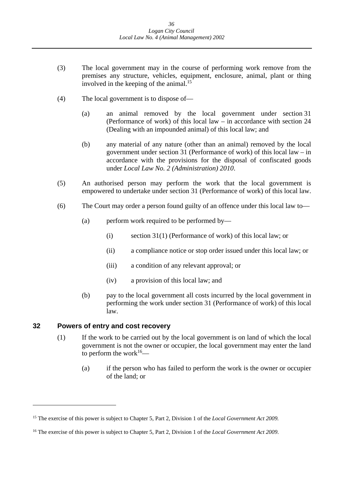- <span id="page-36-0"></span>(3) The local government may in the course of performing work remove from the premises any structure, vehicles, equipment, enclosure, animal, plant or thing involved in the keeping of the animal.<sup>15</sup>
- (4) The local government is to dispose of—
	- (a) an animal removed by the local government under section 31 (Performance of work) of this local law – in accordance with section 24 (Dealing with an impounded animal) of this local law; and
	- (b) any material of any nature (other than an animal) removed by the local government under section 31 (Performance of work) of this local law – in accordance with the provisions for the disposal of confiscated goods under *Local Law No. 2 (Administration) 2010*.
- (5) An authorised person may perform the work that the local government is empowered to undertake under section 31 (Performance of work) of this local law.
- (6) The Court may order a person found guilty of an offence under this local law to—
	- (a) perform work required to be performed by—
		- (i) section 31(1) (Performance of work) of this local law; or
		- (ii) a compliance notice or stop order issued under this local law; or
		- (iii) a condition of any relevant approval; or
		- (iv) a provision of this local law; and
	- (b) pay to the local government all costs incurred by the local government in performing the work under section 31 (Performance of work) of this local law.

#### **32 Powers of entry and cost recovery**

- (1) If the work to be carried out by the local government is on land of which the local government is not the owner or occupier, the local government may enter the land to perform the work $16$ —
	- (a) if the person who has failed to perform the work is the owner or occupier of the land; or

<sup>&</sup>lt;sup>15</sup> The exercise of this power is subject to Chapter 5, Part 2, Division 1 of the *Local Government Act 2009*.

 16 The exercise of this power is subject to Chapter 5, Part 2, Division 1 of the *Local Government Act 2009*.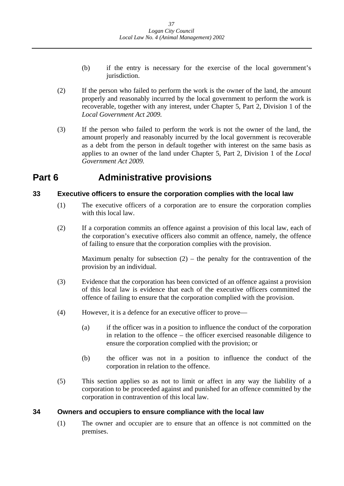- <span id="page-37-0"></span>(b) if the entry is necessary for the exercise of the local government's jurisdiction.
- (2) If the person who failed to perform the work is the owner of the land, the amount properly and reasonably incurred by the local government to perform the work is recoverable, together with any interest, under Chapter 5, Part 2, Division 1 of the *Local Government Act 2009.*
- (3) If the person who failed to perform the work is not the owner of the land, the amount properly and reasonably incurred by the local government is recoverable as a debt from the person in default together with interest on the same basis as applies to an owner of the land under Chapter 5, Part 2, Division 1 of the *Local Government Act 2009.*

## **Part 6 Administrative provisions**

## **33 Executive officers to ensure the corporation complies with the local law**

- (1) The executive officers of a corporation are to ensure the corporation complies with this local law.
- (2) If a corporation commits an offence against a provision of this local law, each of the corporation's executive officers also commit an offence, namely, the offence of failing to ensure that the corporation complies with the provision.

Maximum penalty for subsection  $(2)$  – the penalty for the contravention of the provision by an individual.

- (3) Evidence that the corporation has been convicted of an offence against a provision of this local law is evidence that each of the executive officers committed the offence of failing to ensure that the corporation complied with the provision.
- (4) However, it is a defence for an executive officer to prove—
	- (a) if the officer was in a position to influence the conduct of the corporation in relation to the offence – the officer exercised reasonable diligence to ensure the corporation complied with the provision; or
	- (b) the officer was not in a position to influence the conduct of the corporation in relation to the offence.
- (5) This section applies so as not to limit or affect in any way the liability of a corporation to be proceeded against and punished for an offence committed by the corporation in contravention of this local law.

## **34 Owners and occupiers to ensure compliance with the local law**

(1) The owner and occupier are to ensure that an offence is not committed on the premises.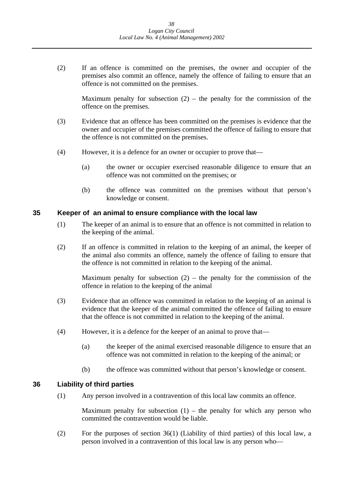<span id="page-38-0"></span>(2) If an offence is committed on the premises, the owner and occupier of the premises also commit an offence, namely the offence of failing to ensure that an offence is not committed on the premises.

Maximum penalty for subsection  $(2)$  – the penalty for the commission of the offence on the premises.

- (3) Evidence that an offence has been committed on the premises is evidence that the owner and occupier of the premises committed the offence of failing to ensure that the offence is not committed on the premises.
- (4) However, it is a defence for an owner or occupier to prove that—
	- (a) the owner or occupier exercised reasonable diligence to ensure that an offence was not committed on the premises; or
	- (b) the offence was committed on the premises without that person's knowledge or consent.

### **35 Keeper of an animal to ensure compliance with the local law**

- (1) The keeper of an animal is to ensure that an offence is not committed in relation to the keeping of the animal.
- (2) If an offence is committed in relation to the keeping of an animal, the keeper of the animal also commits an offence, namely the offence of failing to ensure that the offence is not committed in relation to the keeping of the animal.

Maximum penalty for subsection  $(2)$  – the penalty for the commission of the offence in relation to the keeping of the animal

- (3) Evidence that an offence was committed in relation to the keeping of an animal is evidence that the keeper of the animal committed the offence of failing to ensure that the offence is not committed in relation to the keeping of the animal.
- (4) However, it is a defence for the keeper of an animal to prove that—
	- (a) the keeper of the animal exercised reasonable diligence to ensure that an offence was not committed in relation to the keeping of the animal; or
	- (b) the offence was committed without that person's knowledge or consent.

## **36 Liability of third parties**

(1) Any person involved in a contravention of this local law commits an offence.

Maximum penalty for subsection  $(1)$  – the penalty for which any person who committed the contravention would be liable.

(2) For the purposes of section 36(1) (Liability of third parties) of this local law, a person involved in a contravention of this local law is any person who—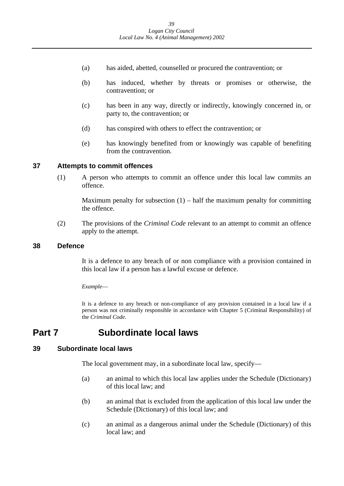- <span id="page-39-0"></span>(a) has aided, abetted, counselled or procured the contravention; or
- (b) has induced, whether by threats or promises or otherwise, the contravention; or
- (c) has been in any way, directly or indirectly, knowingly concerned in, or party to, the contravention; or
- (d) has conspired with others to effect the contravention; or
- (e) has knowingly benefited from or knowingly was capable of benefiting from the contravention.

### **37 Attempts to commit offences**

(1) A person who attempts to commit an offence under this local law commits an offence.

Maximum penalty for subsection  $(1)$  – half the maximum penalty for committing the offence.

(2) The provisions of the *Criminal Code* relevant to an attempt to commit an offence apply to the attempt.

### **38 Defence**

It is a defence to any breach of or non compliance with a provision contained in this local law if a person has a lawful excuse or defence.

### *Example*—

It is a defence to any breach or non-compliance of any provision contained in a local law if a person was not criminally responsible in accordance with Chapter 5 (Criminal Responsibility) of the *Criminal Code*.

## **Part 7 Subordinate local laws**

### **39 Subordinate local laws**

The local government may, in a subordinate local law, specify—

- (a) an animal to which this local law applies under the Schedule (Dictionary) of this local law; and
- (b) an animal that is excluded from the application of this local law under the Schedule (Dictionary) of this local law; and
- (c) an animal as a dangerous animal under the Schedule (Dictionary) of this local law; and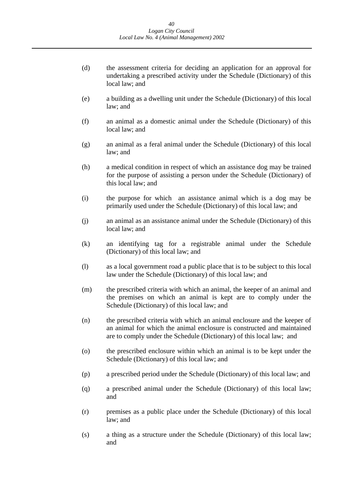- (d) the assessment criteria for deciding an application for an approval for undertaking a prescribed activity under the Schedule (Dictionary) of this local law; and
- (e) a building as a dwelling unit under the Schedule (Dictionary) of this local law; and
- (f) an animal as a domestic animal under the Schedule (Dictionary) of this local law; and
- (g) an animal as a feral animal under the Schedule (Dictionary) of this local law; and
- (h) a medical condition in respect of which an assistance dog may be trained for the purpose of assisting a person under the Schedule (Dictionary) of this local law; and
- (i) the purpose for which an assistance animal which is a dog may be primarily used under the Schedule (Dictionary) of this local law; and
- (j) an animal as an assistance animal under the Schedule (Dictionary) of this local law; and
- (k) an identifying tag for a registrable animal under the Schedule (Dictionary) of this local law; and
- (l) as a local government road a public place that is to be subject to this local law under the Schedule (Dictionary) of this local law; and
- (m) the prescribed criteria with which an animal, the keeper of an animal and the premises on which an animal is kept are to comply under the Schedule (Dictionary) of this local law; and
- (n) the prescribed criteria with which an animal enclosure and the keeper of an animal for which the animal enclosure is constructed and maintained are to comply under the Schedule (Dictionary) of this local law; and
- (o) the prescribed enclosure within which an animal is to be kept under the Schedule (Dictionary) of this local law; and
- (p) a prescribed period under the Schedule (Dictionary) of this local law; and
- (q) a prescribed animal under the Schedule (Dictionary) of this local law; and
- (r) premises as a public place under the Schedule (Dictionary) of this local law; and
- (s) a thing as a structure under the Schedule (Dictionary) of this local law; and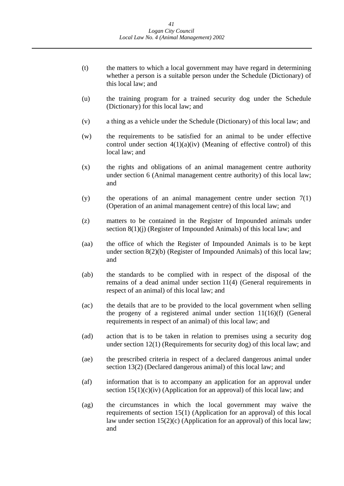- (t) the matters to which a local government may have regard in determining whether a person is a suitable person under the Schedule (Dictionary) of this local law; and
- (u) the training program for a trained security dog under the Schedule (Dictionary) for this local law; and
- (v) a thing as a vehicle under the Schedule (Dictionary) of this local law; and
- (w) the requirements to be satisfied for an animal to be under effective control under section  $4(1)(a)(iv)$  (Meaning of effective control) of this local law; and
- (x) the rights and obligations of an animal management centre authority under section 6 (Animal management centre authority) of this local law; and
- (y) the operations of an animal management centre under section 7(1) (Operation of an animal management centre) of this local law; and
- (z) matters to be contained in the Register of Impounded animals under section 8(1)(j) (Register of Impounded Animals) of this local law; and
- (aa) the office of which the Register of Impounded Animals is to be kept under section 8(2)(b) (Register of Impounded Animals) of this local law; and
- (ab) the standards to be complied with in respect of the disposal of the remains of a dead animal under section 11(4) (General requirements in respect of an animal) of this local law; and
- (ac) the details that are to be provided to the local government when selling the progeny of a registered animal under section 11(16)(f) (General requirements in respect of an animal) of this local law; and
- (ad) action that is to be taken in relation to premises using a security dog under section 12(1) (Requirements for security dog) of this local law; and
- (ae) the prescribed criteria in respect of a declared dangerous animal under section 13(2) (Declared dangerous animal) of this local law; and
- (af) information that is to accompany an application for an approval under section  $15(1)(c)(iv)$  (Application for an approval) of this local law; and
- (ag) the circumstances in which the local government may waive the requirements of section 15(1) (Application for an approval) of this local law under section  $15(2)(c)$  (Application for an approval) of this local law; and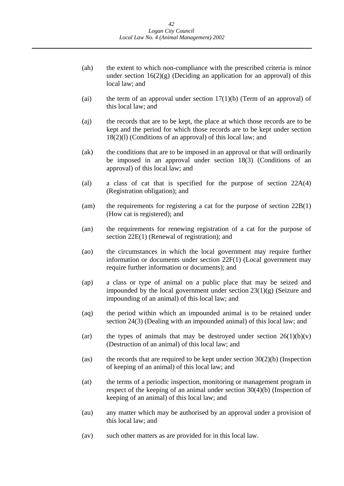- (ah) the extent to which non-compliance with the prescribed criteria is minor under section  $16(2)(g)$  (Deciding an application for an approval) of this local law; and
- (ai) the term of an approval under section  $17(1)(b)$  (Term of an approval) of this local law; and
- (aj) the records that are to be kept, the place at which those records are to be kept and the period for which those records are to be kept under section 18(2)(l) (Conditions of an approval) of this local law; and
- (ak) the conditions that are to be imposed in an approval or that will ordinarily be imposed in an approval under section 18(3) (Conditions of an approval) of this local law; and
- (al) a class of cat that is specified for the purpose of section 22A(4) (Registration obligation); and
- (am) the requirements for registering a cat for the purpose of section 22B(1) (How cat is registered); and
- (an) the requirements for renewing registration of a cat for the purpose of section 22E(1) (Renewal of registration); and
- (ao) the circumstances in which the local government may require further information or documents under section 22F(1) (Local government may require further information or documents); and
- (ap) a class or type of animal on a public place that may be seized and impounded by the local government under section  $23(1)(g)$  (Seizure and impounding of an animal) of this local law; and
- (aq) the period within which an impounded animal is to be retained under section 24(3) (Dealing with an impounded animal) of this local law; and
- (ar) the types of animals that may be destroyed under section  $26(1)(b)(v)$ (Destruction of an animal) of this local law; and
- (as) the records that are required to be kept under section  $30(2)(b)$  (Inspection of keeping of an animal) of this local law; and
- (at) the terms of a periodic inspection, monitoring or management program in respect of the keeping of an animal under section 30(4)(b) (Inspection of keeping of an animal) of this local law; and
- (au) any matter which may be authorised by an approval under a provision of this local law; and
- (av) such other matters as are provided for in this local law.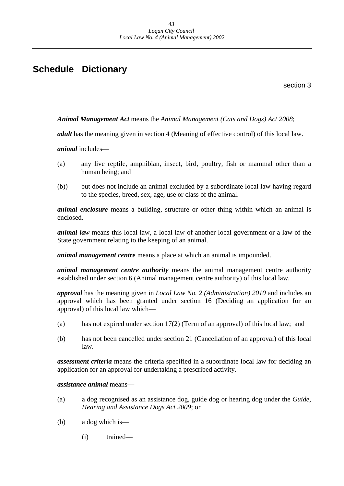## <span id="page-43-0"></span>**Schedule Dictionary**

section 3

*Animal Management Act* means the *Animal Management (Cats and Dogs) Act 2008*;

*adult* has the meaning given in section 4 (Meaning of effective control) of this local law.

*animal* includes—

- (a) any live reptile, amphibian, insect, bird, poultry, fish or mammal other than a human being; and
- (b)) but does not include an animal excluded by a subordinate local law having regard to the species, breed, sex, age, use or class of the animal.

*animal enclosure* means a building, structure or other thing within which an animal is enclosed.

*animal law* means this local law, a local law of another local government or a law of the State government relating to the keeping of an animal.

*animal management centre* means a place at which an animal is impounded.

*animal management centre authority* means the animal management centre authority established under section 6 (Animal management centre authority) of this local law.

*approval* has the meaning given in *Local Law No. 2 (Administration) 2010* and includes an approval which has been granted under section 16 (Deciding an application for an approval) of this local law which—

- (a) has not expired under section 17(2) (Term of an approval) of this local law; and
- (b) has not been cancelled under section 21 (Cancellation of an approval) of this local law.

*assessment criteria* means the criteria specified in a subordinate local law for deciding an application for an approval for undertaking a prescribed activity.

### *assistance animal* means—

- (a) a dog recognised as an assistance dog, guide dog or hearing dog under the *Guide, Hearing and Assistance Dogs Act 2009*; or
- (b) a dog which is—
	- (i) trained—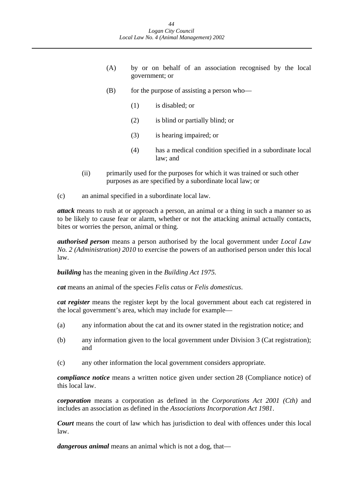- (A) by or on behalf of an association recognised by the local government; or
- $(B)$  for the purpose of assisting a person who—
	- (1) is disabled; or
	- (2) is blind or partially blind; or
	- (3) is hearing impaired; or
	- (4) has a medical condition specified in a subordinate local law; and
- (ii) primarily used for the purposes for which it was trained or such other purposes as are specified by a subordinate local law; or
- (c) an animal specified in a subordinate local law.

*attack* means to rush at or approach a person, an animal or a thing in such a manner so as to be likely to cause fear or alarm, whether or not the attacking animal actually contacts, bites or worries the person, animal or thing.

*authorised person* means a person authorised by the local government under *Local Law No. 2 (Administration) 2010* to exercise the powers of an authorised person under this local law.

*building* has the meaning given in the *Building Act 1975.* 

*cat* means an animal of the species *Felis catus* or *Felis domesticus*.

*cat register* means the register kept by the local government about each cat registered in the local government's area, which may include for example—

- (a) any information about the cat and its owner stated in the registration notice; and
- (b) any information given to the local government under Division 3 (Cat registration); and
- (c) any other information the local government considers appropriate.

*compliance notice* means a written notice given under section 28 (Compliance notice) of this local law.

*corporation* means a corporation as defined in the *Corporations Act 2001 (Cth)* and includes an association as defined in the *Associations Incorporation Act 1981*.

*Court* means the court of law which has jurisdiction to deal with offences under this local law.

*dangerous animal* means an animal which is not a dog, that—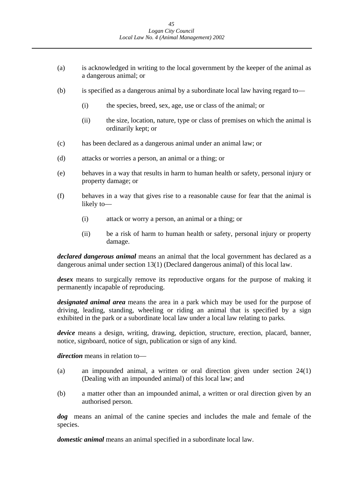- (a) is acknowledged in writing to the local government by the keeper of the animal as a dangerous animal; or
- (b) is specified as a dangerous animal by a subordinate local law having regard to—
	- (i) the species, breed, sex, age, use or class of the animal; or
	- (ii) the size, location, nature, type or class of premises on which the animal is ordinarily kept; or
- (c) has been declared as a dangerous animal under an animal law; or
- (d) attacks or worries a person, an animal or a thing; or
- (e) behaves in a way that results in harm to human health or safety, personal injury or property damage; or
- (f) behaves in a way that gives rise to a reasonable cause for fear that the animal is likely to—
	- (i) attack or worry a person, an animal or a thing; or
	- (ii) be a risk of harm to human health or safety, personal injury or property damage.

*declared dangerous animal* means an animal that the local government has declared as a dangerous animal under section 13(1) (Declared dangerous animal) of this local law.

*desex* means to surgically remove its reproductive organs for the purpose of making it permanently incapable of reproducing.

*designated animal area* means the area in a park which may be used for the purpose of driving, leading, standing, wheeling or riding an animal that is specified by a sign exhibited in the park or a subordinate local law under a local law relating to parks*.* 

*device* means a design, writing, drawing, depiction, structure, erection, placard, banner, notice, signboard, notice of sign, publication or sign of any kind.

*direction* means in relation to—

- (a) an impounded animal, a written or oral direction given under section 24(1) (Dealing with an impounded animal) of this local law; and
- (b) a matter other than an impounded animal, a written or oral direction given by an authorised person.

*dog* means an animal of the canine species and includes the male and female of the species.

*domestic animal* means an animal specified in a subordinate local law.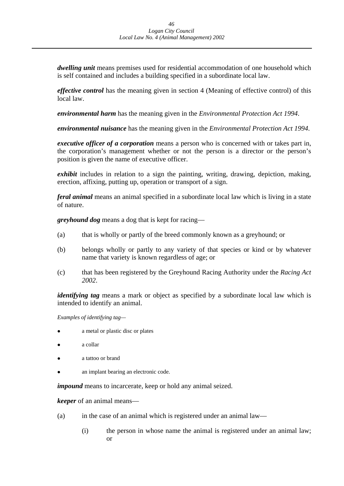*dwelling unit* means premises used for residential accommodation of one household which is self contained and includes a building specified in a subordinate local law.

*effective control* has the meaning given in section 4 (Meaning of effective control) of this local law.

*environmental harm* has the meaning given in the *Environmental Protection Act 1994*.

*environmental nuisance* has the meaning given in the *Environmental Protection Act 1994*.

*executive officer of a corporation* means a person who is concerned with or takes part in, the corporation's management whether or not the person is a director or the person's position is given the name of executive officer.

*exhibit* includes in relation to a sign the painting, writing, drawing, depiction, making, erection, affixing, putting up, operation or transport of a sign.

*feral animal* means an animal specified in a subordinate local law which is living in a state of nature.

*greyhound dog* means a dog that is kept for racing—

- (a) that is wholly or partly of the breed commonly known as a greyhound; or
- (b) belongs wholly or partly to any variety of that species or kind or by whatever name that variety is known regardless of age; or
- (c) that has been registered by the Greyhound Racing Authority under the *Racing Act 2002*.

*identifying tag* means a mark or object as specified by a subordinate local law which is intended to identify an animal.

*Examples of identifying tag—* 

- a metal or plastic disc or plates
- a collar
- a tattoo or brand
- an implant bearing an electronic code.

*impound* means to incarcerate, keep or hold any animal seized.

*keeper* of an animal means—

- (a) in the case of an animal which is registered under an animal law—
	- (i) the person in whose name the animal is registered under an animal law; or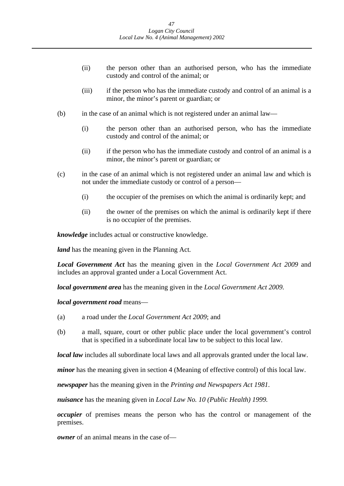- (ii) the person other than an authorised person, who has the immediate custody and control of the animal; or
- (iii) if the person who has the immediate custody and control of an animal is a minor, the minor's parent or guardian; or
- (b) in the case of an animal which is not registered under an animal law—
	- (i) the person other than an authorised person, who has the immediate custody and control of the animal; or
	- (ii) if the person who has the immediate custody and control of an animal is a minor, the minor's parent or guardian; or
- (c) in the case of an animal which is not registered under an animal law and which is not under the immediate custody or control of a person—
	- (i) the occupier of the premises on which the animal is ordinarily kept; and
	- (ii) the owner of the premises on which the animal is ordinarily kept if there is no occupier of the premises.

*knowledge* includes actual or constructive knowledge.

*land* has the meaning given in the Planning Act*.* 

*Local Government Act* has the meaning given in the *Local Government Act 2009* and includes an approval granted under a Local Government Act.

*local government area* has the meaning given in the *Local Government Act 2009.* 

*local government road* means—

- (a) a road under the *Local Government Act 2009*; and
- (b) a mall, square, court or other public place under the local government's control that is specified in a subordinate local law to be subject to this local law.

*local law* includes all subordinate local laws and all approvals granted under the local law.

*minor* has the meaning given in section 4 (Meaning of effective control) of this local law.

*newspaper* has the meaning given in the *Printing and Newspapers Act 1981*.

*nuisance* has the meaning given in *Local Law No. 10 (Public Health) 1999.* 

*occupier* of premises means the person who has the control or management of the premises.

*owner* of an animal means in the case of—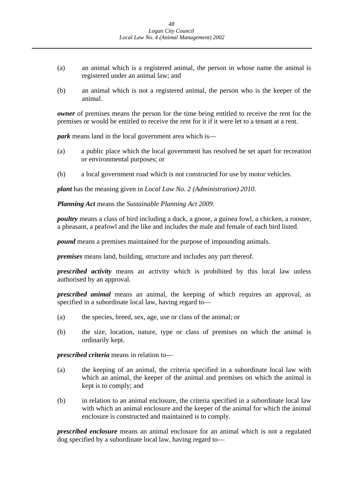- (a) an animal which is a registered animal, the person in whose name the animal is registered under an animal law; and
- (b) an animal which is not a registered animal, the person who is the keeper of the animal.

*owner* of premises means the person for the time being entitled to receive the rent for the premises or would be entitled to receive the rent for it if it were let to a tenant at a rent.

*park* means land in the local government area which is—

- (a) a public place which the local government has resolved be set apart for recreation or environmental purposes; or
- (b) a local government road which is not constructed for use by motor vehicles.

*plant* has the meaning given in *Local Law No. 2 (Administration) 2010*.

*Planning Act* means the *Sustainable Planning Act 2009*.

*poultry* means a class of bird including a duck, a goose, a guinea fowl, a chicken, a rooster, a pheasant, a peafowl and the like and includes the male and female of each bird listed.

*pound* means a premises maintained for the purpose of impounding animals.

*premises* means land, building, structure and includes any part thereof.

*prescribed activity* means an activity which is prohibited by this local law unless authorised by an approval.

*prescribed animal* means an animal, the keeping of which requires an approval, as specified in a subordinate local law, having regard to—

- (a) the species, breed, sex, age, use or class of the animal; or
- (b) the size, location, nature, type or class of premises on which the animal is ordinarily kept.

*prescribed criteria* means in relation to—

- (a) the keeping of an animal, the criteria specified in a subordinate local law with which an animal, the keeper of the animal and premises on which the animal is kept is to comply; and
- (b) in relation to an animal enclosure, the criteria specified in a subordinate local law with which an animal enclosure and the keeper of the animal for which the animal enclosure is constructed and maintained is to comply.

*prescribed enclosure* means an animal enclosure for an animal which is not a regulated dog specified by a subordinate local law, having regard to—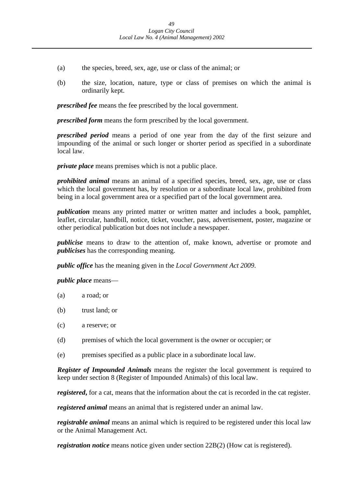- (a) the species, breed, sex, age, use or class of the animal; or
- (b) the size, location, nature, type or class of premises on which the animal is ordinarily kept.

*prescribed fee* means the fee prescribed by the local government.

*prescribed form* means the form prescribed by the local government.

*prescribed period* means a period of one year from the day of the first seizure and impounding of the animal or such longer or shorter period as specified in a subordinate local law.

*private place* means premises which is not a public place.

*prohibited animal* means an animal of a specified species, breed, sex, age, use or class which the local government has, by resolution or a subordinate local law, prohibited from being in a local government area or a specified part of the local government area.

*publication* means any printed matter or written matter and includes a book, pamphlet, leaflet, circular, handbill, notice, ticket, voucher, pass, advertisement, poster, magazine or other periodical publication but does not include a newspaper.

*publicise* means to draw to the attention of, make known, advertise or promote and *publicises* has the corresponding meaning.

*public office* has the meaning given in the *Local Government Act 2009*.

*public place* means—

- (a) a road; or
- (b) trust land; or
- (c) a reserve; or
- (d) premises of which the local government is the owner or occupier; or
- (e) premises specified as a public place in a subordinate local law.

*Register of Impounded Animals* means the register the local government is required to keep under section 8 (Register of Impounded Animals) of this local law.

*registered*, for a cat, means that the information about the cat is recorded in the cat register.

*registered animal* means an animal that is registered under an animal law.

*registrable animal* means an animal which is required to be registered under this local law or the Animal Management Act.

*registration notice* means notice given under section 22B(2) (How cat is registered).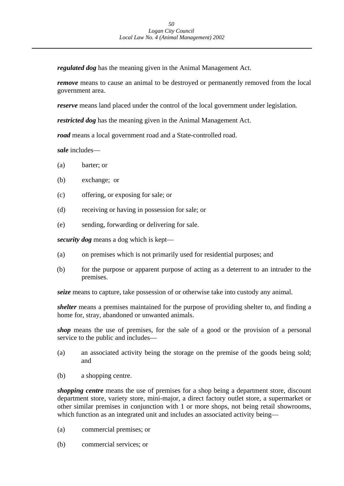*regulated dog* has the meaning given in the Animal Management Act.

*remove* means to cause an animal to be destroyed or permanently removed from the local government area.

*reserve* means land placed under the control of the local government under legislation*.* 

*restricted dog* has the meaning given in the Animal Management Act.

*road* means a local government road and a State-controlled road.

*sale* includes—

- (a) barter; or
- (b) exchange; or
- (c) offering, or exposing for sale; or
- (d) receiving or having in possession for sale; or
- (e) sending, forwarding or delivering for sale.

*security dog* means a dog which is kept—

- (a) on premises which is not primarily used for residential purposes; and
- (b) for the purpose or apparent purpose of acting as a deterrent to an intruder to the premises.

*seize* means to capture, take possession of or otherwise take into custody any animal.

*shelter* means a premises maintained for the purpose of providing shelter to, and finding a home for, stray, abandoned or unwanted animals.

*shop* means the use of premises, for the sale of a good or the provision of a personal service to the public and includes—

- (a) an associated activity being the storage on the premise of the goods being sold; and
- (b) a shopping centre.

*shopping centre* means the use of premises for a shop being a department store, discount department store, variety store, mini-major, a direct factory outlet store, a supermarket or other similar premises in conjunction with 1 or more shops, not being retail showrooms, which function as an integrated unit and includes an associated activity being—

- (a) commercial premises; or
- (b) commercial services; or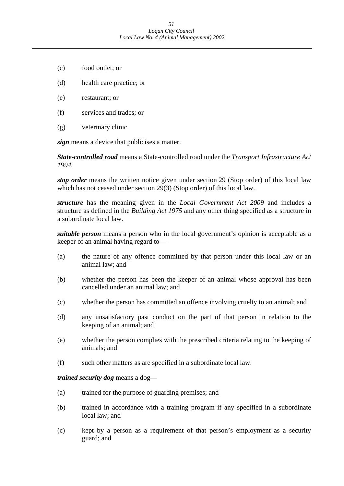- (c) food outlet; or
- (d) health care practice; or
- (e) restaurant; or
- (f) services and trades; or
- (g) veterinary clinic.

*sign* means a device that publicises a matter.

*State-controlled road* means a State-controlled road under the *Transport Infrastructure Act 1994.* 

*stop order* means the written notice given under section 29 (Stop order) of this local law which has not ceased under section 29(3) (Stop order) of this local law.

*structure* has the meaning given in the *Local Government Act 2009* and includes a structure as defined in the *Building Act 1975* and any other thing specified as a structure in a subordinate local law.

*suitable person* means a person who in the local government's opinion is acceptable as a keeper of an animal having regard to—

- (a) the nature of any offence committed by that person under this local law or an animal law; and
- (b) whether the person has been the keeper of an animal whose approval has been cancelled under an animal law; and
- (c) whether the person has committed an offence involving cruelty to an animal; and
- (d) any unsatisfactory past conduct on the part of that person in relation to the keeping of an animal; and
- (e) whether the person complies with the prescribed criteria relating to the keeping of animals; and
- (f) such other matters as are specified in a subordinate local law.

*trained security dog* means a dog—

- (a) trained for the purpose of guarding premises; and
- (b) trained in accordance with a training program if any specified in a subordinate local law; and
- (c) kept by a person as a requirement of that person's employment as a security guard; and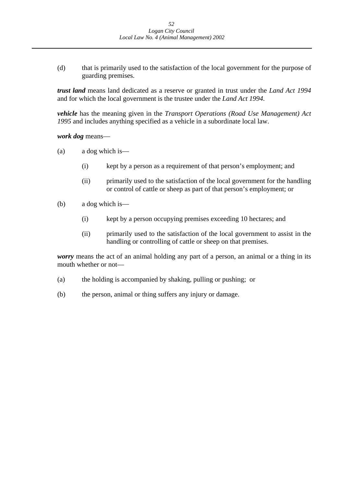(d) that is primarily used to the satisfaction of the local government for the purpose of guarding premises.

*trust land* means land dedicated as a reserve or granted in trust under the *Land Act 1994*  and for which the local government is the trustee under the *Land Act 1994*.

*vehicle* has the meaning given in the *Transport Operations (Road Use Management) Act 1995* and includes anything specified as a vehicle in a subordinate local law.

*work dog* means—

- (a) a dog which is—
	- (i) kept by a person as a requirement of that person's employment; and
	- (ii) primarily used to the satisfaction of the local government for the handling or control of cattle or sheep as part of that person's employment; or
- (b) a dog which is—
	- (i) kept by a person occupying premises exceeding 10 hectares; and
	- (ii) primarily used to the satisfaction of the local government to assist in the handling or controlling of cattle or sheep on that premises.

*worry* means the act of an animal holding any part of a person, an animal or a thing in its mouth whether or not—

- (a) the holding is accompanied by shaking, pulling or pushing; or
- (b) the person, animal or thing suffers any injury or damage.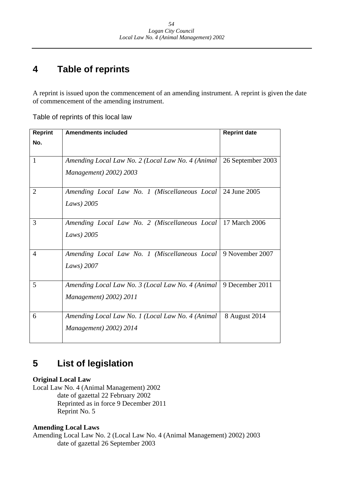### **4 Table of reprints**

A reprint is issued upon the commencement of an amending instrument. A reprint is given the date of commencement of the amending instrument.

Table of reprints of this local law

| <b>Reprint</b> | <b>Amendments included</b>                                                    | <b>Reprint date</b> |
|----------------|-------------------------------------------------------------------------------|---------------------|
| No.            |                                                                               |                     |
| 1              | Amending Local Law No. 2 (Local Law No. 4 (Animal<br>Management) 2002) 2003   | 26 September 2003   |
| $\overline{2}$ | Amending Local Law No. 1 (Miscellaneous Local   24 June 2005<br>Laws) $2005$  |                     |
| 3              | Amending Local Law No. 2 (Miscellaneous Local)<br>Laws) 2005                  | 17 March 2006       |
| $\overline{4}$ | Amending Local Law No. 1 (Miscellaneous Local   9 November 2007<br>Laws) 2007 |                     |
| 5              | Amending Local Law No. 3 (Local Law No. 4 (Animal<br>Management) 2002) 2011   | 9 December 2011     |
| 6              | Amending Local Law No. 1 (Local Law No. 4 (Animal<br>Management) 2002) 2014   | 8 August 2014       |

### **List of legislation 5**

## **Original Local Law**

Local Law No. 4 (Animal Management) 2002 date of gazettal 22 February 2002 Reprinted as in force 9 December 2011 Reprint No. 5

## **Amending Local Laws**

Amending Local Law No. 2 (Local Law No. 4 (Animal Management) 2002) 2003 date of gazettal 26 September 2003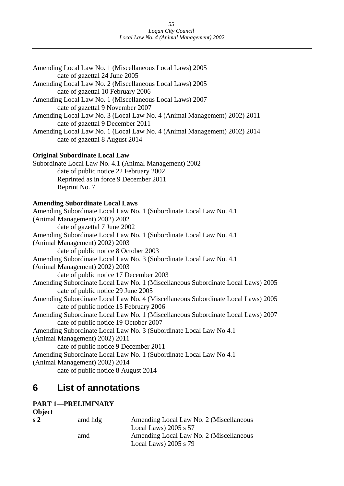| Amending Local Law No. 1 (Miscellaneous Local Laws) 2005                         |
|----------------------------------------------------------------------------------|
| date of gazettal 24 June 2005                                                    |
| Amending Local Law No. 2 (Miscellaneous Local Laws) 2005                         |
| date of gazettal 10 February 2006                                                |
| Amending Local Law No. 1 (Miscellaneous Local Laws) 2007                         |
| date of gazettal 9 November 2007                                                 |
| Amending Local Law No. 3 (Local Law No. 4 (Animal Management) 2002) 2011         |
| date of gazettal 9 December 2011                                                 |
| Amending Local Law No. 1 (Local Law No. 4 (Animal Management) 2002) 2014         |
| date of gazettal 8 August 2014                                                   |
| <b>Original Subordinate Local Law</b>                                            |
| Subordinate Local Law No. 4.1 (Animal Management) 2002                           |
| date of public notice 22 February 2002                                           |
| Reprinted as in force 9 December 2011                                            |
| Reprint No. 7                                                                    |
| <b>Amending Subordinate Local Laws</b>                                           |
| Amending Subordinate Local Law No. 1 (Subordinate Local Law No. 4.1)             |
| (Animal Management) 2002) 2002                                                   |
| date of gazettal 7 June 2002                                                     |
| Amending Subordinate Local Law No. 1 (Subordinate Local Law No. 4.1)             |
| (Animal Management) 2002) 2003                                                   |
| date of public notice 8 October 2003                                             |
| Amending Subordinate Local Law No. 3 (Subordinate Local Law No. 4.1)             |
| (Animal Management) 2002) 2003                                                   |
| date of public notice 17 December 2003                                           |
| Amending Subordinate Local Law No. 1 (Miscellaneous Subordinate Local Laws) 2005 |
| date of public notice 29 June 2005                                               |
| Amending Subordinate Local Law No. 4 (Miscellaneous Subordinate Local Laws) 2005 |
| date of public notice 15 February 2006                                           |
| Amending Subordinate Local Law No. 1 (Miscellaneous Subordinate Local Laws) 2007 |
| date of public notice 19 October 2007                                            |
| Amending Subordinate Local Law No. 3 (Subordinate Local Law No 4.1               |
| (Animal Management) 2002) 2011                                                   |
| date of public notice 9 December 2011                                            |
| Amending Subordinate Local Law No. 1 (Subordinate Local Law No 4.1               |
| (Animal Management) 2002) 2014                                                   |
| date of public notice 8 August 2014                                              |
|                                                                                  |

### **List of annotations 6**

### **PART 1**—**PRELIMINARY Object**

| <b>OURCL</b>                |         |                                         |
|-----------------------------|---------|-----------------------------------------|
| $\boldsymbol{\mathsf{s}}$ 2 | amd hdg | Amending Local Law No. 2 (Miscellaneous |
|                             |         | Local Laws) $2005$ s $57$               |
|                             | amd     | Amending Local Law No. 2 (Miscellaneous |
|                             |         | Local Laws) $2005$ s $79$               |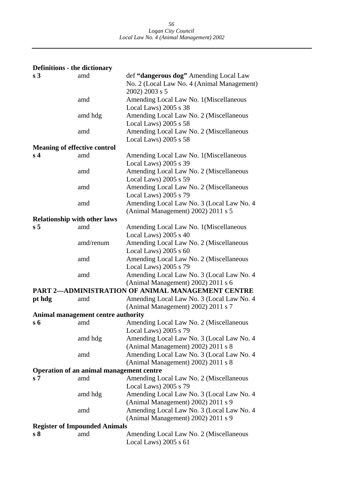| <b>Definitions - the dictionary</b> |                                                 |                                                          |
|-------------------------------------|-------------------------------------------------|----------------------------------------------------------|
| s <sub>3</sub>                      | amd                                             | def "dangerous dog" Amending Local Law                   |
|                                     |                                                 | No. 2 (Local Law No. 4 (Animal Management)               |
|                                     |                                                 | 2002) 2003 s 5                                           |
|                                     | amd                                             | Amending Local Law No. 1(Miscellaneous                   |
|                                     |                                                 | Local Laws) 2005 s 38                                    |
|                                     | amd hdg                                         | Amending Local Law No. 2 (Miscellaneous                  |
|                                     |                                                 | Local Laws) $2005$ s $58$                                |
|                                     | amd                                             | Amending Local Law No. 2 (Miscellaneous                  |
|                                     |                                                 | Local Laws) 2005 s 58                                    |
| <b>Meaning of effective control</b> |                                                 |                                                          |
| s <sub>4</sub>                      | amd                                             | Amending Local Law No. 1 (Miscellaneous                  |
|                                     |                                                 | Local Laws) 2005 s 39                                    |
|                                     | amd                                             | Amending Local Law No. 2 (Miscellaneous                  |
|                                     |                                                 | Local Laws) 2005 s 59                                    |
|                                     | amd                                             | Amending Local Law No. 2 (Miscellaneous                  |
|                                     |                                                 | Local Laws) 2005 s 79                                    |
|                                     | amd                                             | Amending Local Law No. 3 (Local Law No. 4                |
| <b>Relationship with other laws</b> |                                                 | (Animal Management) 2002) 2011 s 5                       |
| s <sub>5</sub>                      | amd                                             | Amending Local Law No. 1(Miscellaneous                   |
|                                     |                                                 | Local Laws) 2005 s 40                                    |
|                                     | amd/renum                                       | Amending Local Law No. 2 (Miscellaneous                  |
|                                     |                                                 | Local Laws) 2005 s 60                                    |
|                                     | amd                                             | Amending Local Law No. 2 (Miscellaneous                  |
|                                     |                                                 | Local Laws) 2005 s 79                                    |
|                                     | amd                                             | Amending Local Law No. 3 (Local Law No. 4                |
|                                     |                                                 | (Animal Management) 2002) 2011 s 6                       |
|                                     |                                                 | <b>PART 2-ADMINISTRATION OF ANIMAL MANAGEMENT CENTRE</b> |
| pt hdg                              | amd                                             | Amending Local Law No. 3 (Local Law No. 4                |
|                                     |                                                 | (Animal Management) 2002) 2011 s 7                       |
|                                     | Animal management centre authority              |                                                          |
| $s_{\theta}$                        | amd                                             | Amending Local Law No. 2 (Miscellaneous                  |
|                                     |                                                 | Local Laws) 2005 s 79                                    |
|                                     | amd hdg                                         | Amending Local Law No. 3 (Local Law No. 4                |
|                                     |                                                 | (Animal Management) 2002) 2011 s 8                       |
|                                     | amd                                             | Amending Local Law No. 3 (Local Law No. 4                |
|                                     |                                                 | (Animal Management) 2002) 2011 s 8                       |
| s <sub>7</sub>                      | Operation of an animal management centre<br>amd | Amending Local Law No. 2 (Miscellaneous                  |
|                                     |                                                 | Local Laws) 2005 s 79                                    |
|                                     | amd hdg                                         | Amending Local Law No. 3 (Local Law No. 4)               |
|                                     |                                                 | (Animal Management) 2002) 2011 s 9                       |
|                                     | amd                                             | Amending Local Law No. 3 (Local Law No. 4                |
|                                     |                                                 | (Animal Management) 2002) 2011 s 9                       |
|                                     | <b>Register of Impounded Animals</b>            |                                                          |
| s <sub>8</sub>                      | amd                                             | Amending Local Law No. 2 (Miscellaneous                  |
|                                     |                                                 | Local Laws) $2005 s 61$                                  |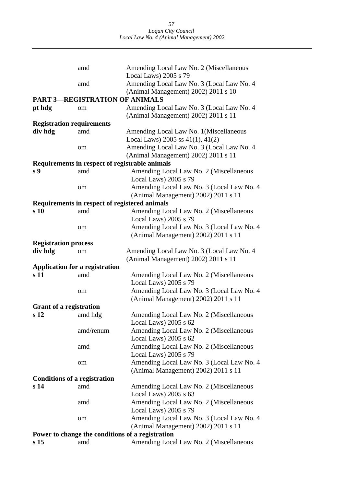|                                     | amd                                            | Amending Local Law No. 2 (Miscellaneous                            |
|-------------------------------------|------------------------------------------------|--------------------------------------------------------------------|
|                                     | amd                                            | Local Laws) 2005 s 79<br>Amending Local Law No. 3 (Local Law No. 4 |
|                                     |                                                | (Animal Management) 2002) 2011 s 10                                |
|                                     | <b>PART 3-REGISTRATION OF ANIMALS</b>          |                                                                    |
| pt hdg                              | om                                             | Amending Local Law No. 3 (Local Law No. 4                          |
|                                     |                                                | (Animal Management) 2002) 2011 s 11                                |
| <b>Registration requirements</b>    |                                                |                                                                    |
| div hdg                             | amd                                            | Amending Local Law No. 1 (Miscellaneous                            |
|                                     |                                                | Local Laws) 2005 ss $41(1)$ , $41(2)$                              |
|                                     | om                                             | Amending Local Law No. 3 (Local Law No. 4                          |
|                                     |                                                | (Animal Management) 2002) 2011 s 11                                |
|                                     | Requirements in respect of registrable animals |                                                                    |
| s 9                                 | amd                                            | Amending Local Law No. 2 (Miscellaneous                            |
|                                     |                                                | Local Laws) 2005 s 79                                              |
|                                     | om                                             | Amending Local Law No. 3 (Local Law No. 4                          |
|                                     |                                                | (Animal Management) 2002) 2011 s 11                                |
|                                     | Requirements in respect of registered animals  |                                                                    |
| s <sub>10</sub>                     | amd                                            | Amending Local Law No. 2 (Miscellaneous                            |
|                                     |                                                | Local Laws) 2005 s 79                                              |
|                                     | om                                             | Amending Local Law No. 3 (Local Law No. 4                          |
|                                     |                                                | (Animal Management) 2002) 2011 s 11                                |
| <b>Registration process</b>         |                                                |                                                                    |
| div hdg                             | om                                             | Amending Local Law No. 3 (Local Law No. 4                          |
|                                     |                                                | (Animal Management) 2002) 2011 s 11                                |
|                                     | <b>Application for a registration</b>          |                                                                    |
| s 11                                | amd                                            | Amending Local Law No. 2 (Miscellaneous                            |
|                                     |                                                | Local Laws) 2005 s 79                                              |
|                                     | om                                             | Amending Local Law No. 3 (Local Law No. 4)                         |
|                                     |                                                | (Animal Management) 2002) 2011 s 11                                |
| <b>Grant of a registration</b>      |                                                |                                                                    |
| s <sub>12</sub>                     | amd hdg                                        | Amending Local Law No. 2 (Miscellaneous                            |
|                                     |                                                | Local Laws) 2005 s 62                                              |
|                                     | amd/renum                                      | Amending Local Law No. 2 (Miscellaneous                            |
|                                     |                                                | Local Laws) 2005 s 62                                              |
|                                     | amd                                            | Amending Local Law No. 2 (Miscellaneous                            |
|                                     |                                                | Local Laws) 2005 s 79                                              |
|                                     | om                                             | Amending Local Law No. 3 (Local Law No. 4                          |
|                                     |                                                | (Animal Management) 2002) 2011 s 11                                |
| <b>Conditions of a registration</b> |                                                |                                                                    |
| s <sub>14</sub>                     | amd                                            | Amending Local Law No. 2 (Miscellaneous                            |
|                                     |                                                | Local Laws) 2005 s 63                                              |
|                                     | amd                                            | Amending Local Law No. 2 (Miscellaneous                            |
|                                     |                                                | Local Laws) 2005 s 79                                              |
|                                     | om                                             | Amending Local Law No. 3 (Local Law No. 4)                         |
|                                     |                                                | (Animal Management) 2002) 2011 s 11                                |
|                                     |                                                | Power to change the conditions of a registration                   |
| s <sub>15</sub>                     | amd                                            | Amending Local Law No. 2 (Miscellaneous                            |
|                                     |                                                |                                                                    |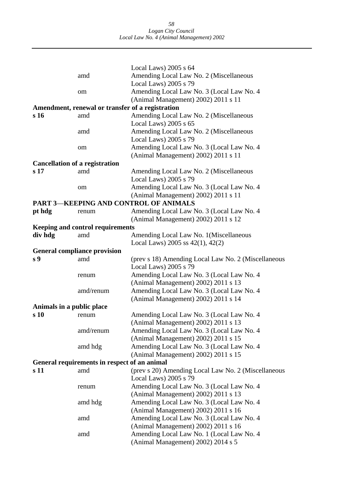|                           |                                                  | Local Laws) $2005$ s $64$                                                       |
|---------------------------|--------------------------------------------------|---------------------------------------------------------------------------------|
|                           | amd                                              | Amending Local Law No. 2 (Miscellaneous                                         |
|                           |                                                  | Local Laws) 2005 s 79                                                           |
|                           | om                                               | Amending Local Law No. 3 (Local Law No. 4                                       |
|                           |                                                  | (Animal Management) 2002) 2011 s 11                                             |
|                           | Amendment, renewal or transfer of a registration |                                                                                 |
| s 16                      | amd                                              | Amending Local Law No. 2 (Miscellaneous                                         |
|                           |                                                  | Local Laws) 2005 s 65                                                           |
|                           | amd                                              | Amending Local Law No. 2 (Miscellaneous                                         |
|                           |                                                  | Local Laws) $2005 s 79$                                                         |
|                           | om                                               | Amending Local Law No. 3 (Local Law No. 4                                       |
|                           |                                                  | (Animal Management) 2002) 2011 s 11                                             |
|                           | <b>Cancellation of a registration</b>            |                                                                                 |
| s 17                      | amd                                              | Amending Local Law No. 2 (Miscellaneous                                         |
|                           |                                                  | Local Laws) 2005 s 79                                                           |
|                           | om                                               | Amending Local Law No. 3 (Local Law No. 4)                                      |
|                           |                                                  | (Animal Management) 2002) 2011 s 11                                             |
|                           |                                                  | <b>PART 3-KEEPING AND CONTROL OF ANIMALS</b>                                    |
| pt hdg                    | renum                                            | Amending Local Law No. 3 (Local Law No. 4)                                      |
|                           |                                                  | (Animal Management) 2002) 2011 s 12                                             |
|                           | <b>Keeping and control requirements</b>          |                                                                                 |
| div hdg                   | amd                                              | Amending Local Law No. 1 (Miscellaneous                                         |
|                           |                                                  | Local Laws) 2005 ss $42(1)$ , $42(2)$                                           |
|                           | <b>General compliance provision</b>              |                                                                                 |
|                           |                                                  |                                                                                 |
| s <sub>9</sub>            | amd                                              | (prev s 18) Amending Local Law No. 2 (Miscellaneous                             |
|                           |                                                  | Local Laws) 2005 s 79                                                           |
|                           | renum                                            | Amending Local Law No. 3 (Local Law No. 4                                       |
|                           |                                                  | (Animal Management) 2002) 2011 s 13                                             |
|                           | amd/renum                                        | Amending Local Law No. 3 (Local Law No. 4                                       |
|                           |                                                  | (Animal Management) 2002) 2011 s 14                                             |
| Animals in a public place |                                                  |                                                                                 |
| s 10                      | renum                                            | Amending Local Law No. 3 (Local Law No. 4                                       |
|                           |                                                  | (Animal Management) 2002) 2011 s 13                                             |
|                           | amd/renum                                        | Amending Local Law No. 3 (Local Law No. 4                                       |
|                           |                                                  | (Animal Management) 2002) 2011 s 15                                             |
|                           | amd hdg                                          | Amending Local Law No. 3 (Local Law No. 4                                       |
|                           |                                                  | (Animal Management) 2002) 2011 s 15                                             |
|                           | General requirements in respect of an animal     |                                                                                 |
| s 11                      | amd                                              | (prev s 20) Amending Local Law No. 2 (Miscellaneous                             |
|                           |                                                  | Local Laws) 2005 s 79                                                           |
|                           | renum                                            | Amending Local Law No. 3 (Local Law No. 4                                       |
|                           |                                                  | (Animal Management) 2002) 2011 s 13                                             |
|                           | amd hdg                                          | Amending Local Law No. 3 (Local Law No. 4                                       |
|                           |                                                  | (Animal Management) 2002) 2011 s 16                                             |
|                           | amd                                              | Amending Local Law No. 3 (Local Law No. 4                                       |
|                           |                                                  | (Animal Management) 2002) 2011 s 16                                             |
|                           | amd                                              | Amending Local Law No. 1 (Local Law No. 4<br>(Animal Management) 2002) 2014 s 5 |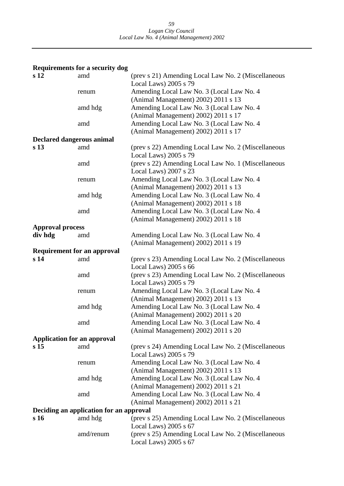## **Requirements for a security dog**

| s <sub>12</sub>                    | amd                                     | (prev s 21) Amending Local Law No. 2 (Miscellaneous                          |
|------------------------------------|-----------------------------------------|------------------------------------------------------------------------------|
|                                    |                                         | Local Laws) 2005 s 79                                                        |
|                                    | renum                                   | Amending Local Law No. 3 (Local Law No. 4                                    |
|                                    |                                         | (Animal Management) 2002) 2011 s 13                                          |
|                                    | amd hdg                                 | Amending Local Law No. 3 (Local Law No. 4                                    |
|                                    |                                         | (Animal Management) 2002) 2011 s 17                                          |
|                                    | amd                                     | Amending Local Law No. 3 (Local Law No. 4                                    |
|                                    |                                         | (Animal Management) 2002) 2011 s 17                                          |
| <b>Declared dangerous animal</b>   |                                         |                                                                              |
| s <sub>13</sub>                    | amd                                     | (prev s 22) Amending Local Law No. 2 (Miscellaneous<br>Local Laws) 2005 s 79 |
|                                    | amd                                     | (prev s 22) Amending Local Law No. 1 (Miscellaneous                          |
|                                    |                                         | Local Laws) 2007 s 23                                                        |
|                                    |                                         |                                                                              |
|                                    | renum                                   | Amending Local Law No. 3 (Local Law No. 4                                    |
|                                    |                                         | (Animal Management) 2002) 2011 s 13                                          |
|                                    | amd hdg                                 | Amending Local Law No. 3 (Local Law No. 4                                    |
|                                    |                                         | (Animal Management) 2002) 2011 s 18                                          |
|                                    | amd                                     | Amending Local Law No. 3 (Local Law No. 4                                    |
|                                    |                                         | (Animal Management) 2002) 2011 s 18                                          |
| <b>Approval process</b>            |                                         |                                                                              |
| div hdg                            | amd                                     | Amending Local Law No. 3 (Local Law No. 4)                                   |
|                                    |                                         | (Animal Management) 2002) 2011 s 19                                          |
|                                    | <b>Requirement for an approval</b>      |                                                                              |
| s <sub>14</sub>                    | amd                                     | (prev s 23) Amending Local Law No. 2 (Miscellaneous                          |
|                                    |                                         | Local Laws) $2005 s 66$                                                      |
|                                    | amd                                     | (prev s 23) Amending Local Law No. 2 (Miscellaneous                          |
|                                    |                                         | Local Laws) 2005 s 79                                                        |
|                                    | renum                                   | Amending Local Law No. 3 (Local Law No. 4)                                   |
|                                    |                                         | (Animal Management) 2002) 2011 s 13                                          |
|                                    | amd hdg                                 | Amending Local Law No. 3 (Local Law No. 4                                    |
|                                    |                                         | (Animal Management) 2002) 2011 s 20                                          |
|                                    | amd                                     | Amending Local Law No. 3 (Local Law No. 4                                    |
|                                    |                                         | (Animal Management) 2002) 2011 s 20                                          |
| <b>Application for an approval</b> |                                         |                                                                              |
| s <sub>15</sub>                    | amd                                     | (prev s 24) Amending Local Law No. 2 (Miscellaneous                          |
|                                    |                                         | Local Laws) 2005 s 79                                                        |
|                                    | renum                                   | Amending Local Law No. 3 (Local Law No. 4                                    |
|                                    |                                         | (Animal Management) 2002) 2011 s 13                                          |
|                                    | amd hdg                                 | Amending Local Law No. 3 (Local Law No. 4                                    |
|                                    |                                         | (Animal Management) 2002) 2011 s 21                                          |
|                                    | amd                                     | Amending Local Law No. 3 (Local Law No. 4                                    |
|                                    |                                         | (Animal Management) 2002) 2011 s 21                                          |
|                                    |                                         |                                                                              |
|                                    | Deciding an application for an approval |                                                                              |
| s 16                               | amd hdg                                 | (prev s 25) Amending Local Law No. 2 (Miscellaneous                          |
|                                    |                                         | Local Laws) $2005 s 67$                                                      |
|                                    | amd/renum                               | (prev s 25) Amending Local Law No. 2 (Miscellaneous                          |
|                                    |                                         | Local Laws) $2005 s 67$                                                      |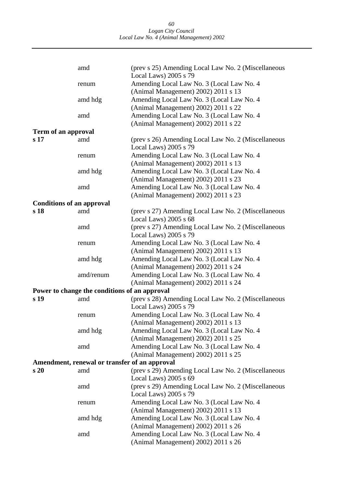|                                  | amd                                           | (prev s 25) Amending Local Law No. 2 (Miscellaneous |
|----------------------------------|-----------------------------------------------|-----------------------------------------------------|
|                                  |                                               | Local Laws) 2005 s 79                               |
|                                  | renum                                         | Amending Local Law No. 3 (Local Law No. 4           |
|                                  |                                               | (Animal Management) 2002) 2011 s 13                 |
|                                  | amd hdg                                       | Amending Local Law No. 3 (Local Law No. 4           |
|                                  |                                               | (Animal Management) 2002) 2011 s 22                 |
|                                  | amd                                           | Amending Local Law No. 3 (Local Law No. 4           |
|                                  |                                               | (Animal Management) 2002) 2011 s 22                 |
| Term of an approval              |                                               |                                                     |
| s 17                             | amd                                           | (prev s 26) Amending Local Law No. 2 (Miscellaneous |
|                                  |                                               | Local Laws) 2005 s 79                               |
|                                  | renum                                         | Amending Local Law No. 3 (Local Law No. 4           |
|                                  |                                               | (Animal Management) 2002) 2011 s 13                 |
|                                  | amd hdg                                       | Amending Local Law No. 3 (Local Law No. 4           |
|                                  |                                               | (Animal Management) 2002) 2011 s 23                 |
|                                  | amd                                           | Amending Local Law No. 3 (Local Law No. 4           |
|                                  |                                               | (Animal Management) 2002) 2011 s 23                 |
| <b>Conditions of an approval</b> |                                               |                                                     |
| s 18                             | amd                                           | (prev s 27) Amending Local Law No. 2 (Miscellaneous |
|                                  |                                               | Local Laws) 2005 s 68                               |
|                                  | amd                                           | (prev s 27) Amending Local Law No. 2 (Miscellaneous |
|                                  |                                               | Local Laws) 2005 s 79                               |
|                                  | renum                                         | Amending Local Law No. 3 (Local Law No. 4           |
|                                  |                                               | (Animal Management) 2002) 2011 s 13                 |
|                                  | amd hdg                                       | Amending Local Law No. 3 (Local Law No. 4           |
|                                  |                                               | (Animal Management) 2002) 2011 s 24                 |
|                                  | amd/renum                                     | Amending Local Law No. 3 (Local Law No. 4           |
|                                  |                                               | (Animal Management) 2002) 2011 s 24                 |
|                                  | Power to change the conditions of an approval |                                                     |
| s 19                             | amd                                           | (prev s 28) Amending Local Law No. 2 (Miscellaneous |
|                                  |                                               | Local Laws) 2005 s 79                               |
|                                  | renum                                         | Amending Local Law No. 3 (Local Law No. 4           |
|                                  |                                               | (Animal Management) 2002) 2011 s 13                 |
|                                  | amd hdg                                       | Amending Local Law No. 3 (Local Law No. 4           |
|                                  |                                               | (Animal Management) 2002) 2011 s 25                 |
|                                  | amd                                           | Amending Local Law No. 3 (Local Law No. 4           |
|                                  |                                               | (Animal Management) 2002) 2011 s 25                 |
|                                  | Amendment, renewal or transfer of an approval |                                                     |
| s20                              | amd                                           | (prev s 29) Amending Local Law No. 2 (Miscellaneous |
|                                  |                                               | Local Laws) $2005 s 69$                             |
|                                  | amd                                           | (prev s 29) Amending Local Law No. 2 (Miscellaneous |
|                                  |                                               | Local Laws) 2005 s 79                               |
|                                  | renum                                         | Amending Local Law No. 3 (Local Law No. 4           |
|                                  |                                               | (Animal Management) 2002) 2011 s 13                 |
|                                  | amd hdg                                       | Amending Local Law No. 3 (Local Law No. 4           |
|                                  |                                               | (Animal Management) 2002) 2011 s 26                 |
|                                  | amd                                           | Amending Local Law No. 3 (Local Law No. 4)          |
|                                  |                                               | (Animal Management) 2002) 2011 s 26                 |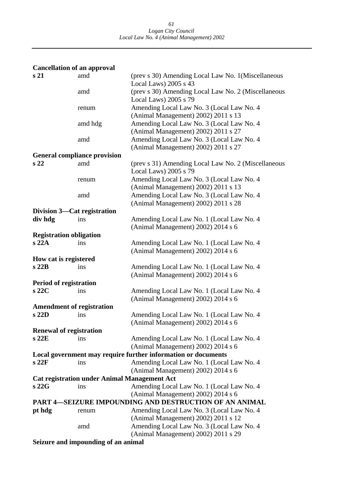| <b>Cancellation of an approval</b> |                                                     |                                                               |
|------------------------------------|-----------------------------------------------------|---------------------------------------------------------------|
| s <sub>21</sub>                    | amd                                                 | (prev s 30) Amending Local Law No. 1 (Miscellaneous           |
|                                    |                                                     | Local Laws) 2005 s 43                                         |
|                                    | amd                                                 | (prev s 30) Amending Local Law No. 2 (Miscellaneous           |
|                                    |                                                     | Local Laws) 2005 s 79                                         |
|                                    | renum                                               | Amending Local Law No. 3 (Local Law No. 4                     |
|                                    |                                                     | (Animal Management) 2002) 2011 s 13                           |
|                                    | amd hdg                                             | Amending Local Law No. 3 (Local Law No. 4                     |
|                                    |                                                     | (Animal Management) 2002) 2011 s 27                           |
|                                    | amd                                                 | Amending Local Law No. 3 (Local Law No. 4                     |
|                                    |                                                     | (Animal Management) 2002) 2011 s 27                           |
|                                    | <b>General compliance provision</b>                 |                                                               |
| s <sub>22</sub>                    | amd                                                 | (prev s 31) Amending Local Law No. 2 (Miscellaneous           |
|                                    |                                                     | Local Laws) 2005 s 79                                         |
|                                    | renum                                               | Amending Local Law No. 3 (Local Law No. 4                     |
|                                    |                                                     | (Animal Management) 2002) 2011 s 13                           |
|                                    | amd                                                 | Amending Local Law No. 3 (Local Law No. 4                     |
|                                    |                                                     | (Animal Management) 2002) 2011 s 28                           |
| Division 3—Cat registration        |                                                     |                                                               |
| div hdg                            | ins                                                 | Amending Local Law No. 1 (Local Law No. 4)                    |
|                                    |                                                     | (Animal Management) 2002) 2014 s 6                            |
| <b>Registration obligation</b>     |                                                     |                                                               |
| s22A                               | ins                                                 | Amending Local Law No. 1 (Local Law No. 4)                    |
|                                    |                                                     | (Animal Management) 2002) 2014 s 6                            |
| How cat is registered              |                                                     |                                                               |
| s22B                               | ins                                                 | Amending Local Law No. 1 (Local Law No. 4)                    |
|                                    |                                                     | (Animal Management) 2002) 2014 s 6                            |
| <b>Period of registration</b>      |                                                     |                                                               |
| s22C                               | ins                                                 | Amending Local Law No. 1 (Local Law No. 4                     |
|                                    |                                                     | (Animal Management) 2002) 2014 s 6                            |
| <b>Amendment of registration</b>   |                                                     |                                                               |
| s 22D                              | ins                                                 | Amending Local Law No. 1 (Local Law No. 4)                    |
|                                    |                                                     | (Animal Management) 2002) 2014 s 6                            |
| <b>Renewal of registration</b>     |                                                     |                                                               |
| s22E                               | ins                                                 | Amending Local Law No. 1 (Local Law No. 4)                    |
|                                    |                                                     | (Animal Management) 2002) 2014 s 6                            |
|                                    |                                                     | Local government may require further information or documents |
| s22F                               | ins                                                 | Amending Local Law No. 1 (Local Law No. 4                     |
|                                    |                                                     | (Animal Management) 2002) 2014 s 6                            |
|                                    | <b>Cat registration under Animal Management Act</b> |                                                               |
| s 22G                              | ins                                                 | Amending Local Law No. 1 (Local Law No. 4)                    |
|                                    |                                                     | (Animal Management) 2002) 2014 s 6                            |
|                                    |                                                     | <b>PART 4-SEIZURE IMPOUNDING AND DESTRUCTION OF AN ANIMAL</b> |
| pt hdg                             | renum                                               | Amending Local Law No. 3 (Local Law No. 4)                    |
|                                    |                                                     | (Animal Management) 2002) 2011 s 12                           |
|                                    | amd                                                 | Amending Local Law No. 3 (Local Law No. 4                     |
|                                    |                                                     | (Animal Management) 2002) 2011 s 29                           |

**Seizure and impounding of an animal**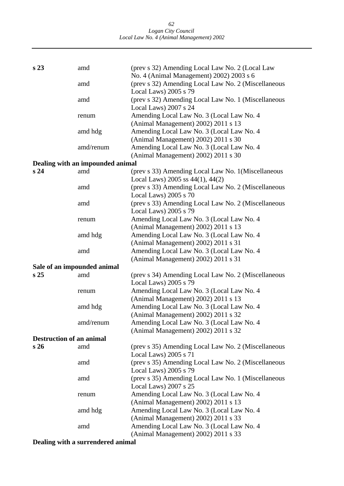| s <sub>23</sub>                 | amd                              | (prev s 32) Amending Local Law No. 2 (Local Law<br>No. 4 (Animal Management) 2002) 2003 s 6 |
|---------------------------------|----------------------------------|---------------------------------------------------------------------------------------------|
|                                 | amd                              | (prev s 32) Amending Local Law No. 2 (Miscellaneous                                         |
|                                 |                                  | Local Laws) 2005 s 79                                                                       |
|                                 | amd                              | (prev s 32) Amending Local Law No. 1 (Miscellaneous<br>Local Laws) 2007 s 24                |
|                                 | renum                            | Amending Local Law No. 3 (Local Law No. 4)<br>(Animal Management) 2002) 2011 s 13           |
|                                 | amd hdg                          | Amending Local Law No. 3 (Local Law No. 4                                                   |
|                                 | amd/renum                        | (Animal Management) 2002) 2011 s 30<br>Amending Local Law No. 3 (Local Law No. 4            |
|                                 |                                  | (Animal Management) 2002) 2011 s 30                                                         |
|                                 | Dealing with an impounded animal |                                                                                             |
| s <sub>24</sub>                 | amd                              | (prev s 33) Amending Local Law No. 1 (Miscellaneous                                         |
|                                 |                                  | Local Laws) 2005 ss 44(1), 44(2)                                                            |
|                                 | amd                              | (prev s 33) Amending Local Law No. 2 (Miscellaneous                                         |
|                                 |                                  | Local Laws) 2005 s 70                                                                       |
|                                 | amd                              | (prev s 33) Amending Local Law No. 2 (Miscellaneous                                         |
|                                 |                                  | Local Laws) 2005 s 79                                                                       |
|                                 | renum                            | Amending Local Law No. 3 (Local Law No. 4                                                   |
|                                 |                                  | (Animal Management) 2002) 2011 s 13                                                         |
|                                 | amd hdg                          | Amending Local Law No. 3 (Local Law No. 4                                                   |
|                                 |                                  | (Animal Management) 2002) 2011 s 31                                                         |
|                                 | amd                              | Amending Local Law No. 3 (Local Law No. 4                                                   |
|                                 |                                  | (Animal Management) 2002) 2011 s 31                                                         |
|                                 | Sale of an impounded animal      |                                                                                             |
| s <sub>25</sub>                 | amd                              | (prev s 34) Amending Local Law No. 2 (Miscellaneous<br>Local Laws) 2005 s 79                |
|                                 | renum                            | Amending Local Law No. 3 (Local Law No. 4)                                                  |
|                                 |                                  | (Animal Management) 2002) 2011 s 13                                                         |
|                                 | amd hdg                          | Amending Local Law No. 3 (Local Law No. 4                                                   |
|                                 |                                  | (Animal Management) 2002) 2011 s 32                                                         |
|                                 | amd/renum                        | Amending Local Law No. 3 (Local Law No. 4)                                                  |
|                                 |                                  | (Animal Management) 2002) 2011 s 32                                                         |
| <b>Destruction of an animal</b> |                                  |                                                                                             |
| s26                             | amd                              | (prev s 35) Amending Local Law No. 2 (Miscellaneous<br>Local Laws) 2005 s 71                |
|                                 | amd                              | (prev s 35) Amending Local Law No. 2 (Miscellaneous<br>Local Laws) 2005 s 79                |
|                                 | amd                              | (prev s 35) Amending Local Law No. 1 (Miscellaneous                                         |
|                                 |                                  | Local Laws) 2007 s 25                                                                       |
|                                 | renum                            | Amending Local Law No. 3 (Local Law No. 4                                                   |
|                                 |                                  | (Animal Management) 2002) 2011 s 13                                                         |
|                                 | amd hdg                          | Amending Local Law No. 3 (Local Law No. 4                                                   |
|                                 |                                  | (Animal Management) 2002) 2011 s 33                                                         |
|                                 | amd                              | Amending Local Law No. 3 (Local Law No. 4                                                   |
|                                 |                                  | (Animal Management) 2002) 2011 s 33                                                         |

**Dealing with a surrendered animal**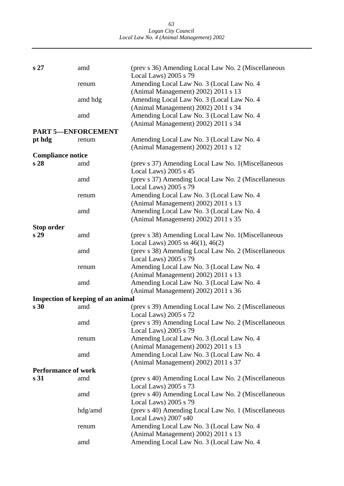*63 Logan City Council Local Law No. 4 (Animal Management) 2002* 

| s <sub>27</sub>            | amd                                | (prev s 36) Amending Local Law No. 2 (Miscellaneous<br>Local Laws) 2005 s 79                 |
|----------------------------|------------------------------------|----------------------------------------------------------------------------------------------|
|                            | renum                              | Amending Local Law No. 3 (Local Law No. 4)<br>(Animal Management) 2002) 2011 s 13            |
|                            | amd hdg                            | Amending Local Law No. 3 (Local Law No. 4                                                    |
|                            | amd                                | (Animal Management) 2002) 2011 s 34<br>Amending Local Law No. 3 (Local Law No. 4             |
|                            |                                    | (Animal Management) 2002) 2011 s 34                                                          |
| <b>PART 5-ENFORCEMENT</b>  |                                    |                                                                                              |
| pt hdg                     | renum                              | Amending Local Law No. 3 (Local Law No. 4                                                    |
|                            |                                    | (Animal Management) 2002) 2011 s 12                                                          |
| <b>Compliance notice</b>   |                                    |                                                                                              |
| s 28                       | amd                                | (prev s 37) Amending Local Law No. 1 (Miscellaneous<br>Local Laws) $2005$ s $45$             |
|                            | amd                                | (prev s 37) Amending Local Law No. 2 (Miscellaneous                                          |
|                            |                                    | Local Laws) 2005 s 79                                                                        |
|                            | renum                              | Amending Local Law No. 3 (Local Law No. 4                                                    |
|                            |                                    | (Animal Management) 2002) 2011 s 13                                                          |
|                            | amd                                | Amending Local Law No. 3 (Local Law No. 4                                                    |
|                            |                                    | (Animal Management) 2002) 2011 s 35                                                          |
| Stop order                 |                                    |                                                                                              |
| s <sub>29</sub>            | amd                                | (prev s 38) Amending Local Law No. 1 (Miscellaneous<br>Local Laws) 2005 ss $46(1)$ , $46(2)$ |
|                            | amd                                | (prev s 38) Amending Local Law No. 2 (Miscellaneous<br>Local Laws) 2005 s 79                 |
|                            | renum                              | Amending Local Law No. 3 (Local Law No. 4)                                                   |
|                            |                                    | (Animal Management) 2002) 2011 s 13                                                          |
|                            | amd                                | Amending Local Law No. 3 (Local Law No. 4                                                    |
|                            |                                    | (Animal Management) 2002) 2011 s 36                                                          |
|                            |                                    |                                                                                              |
|                            | Inspection of keeping of an animal |                                                                                              |
| s <sub>30</sub>            | amd                                | (prev s 39) Amending Local Law No. 2 (Miscellaneous<br>Local Laws) 2005 s 72                 |
|                            | amd                                | (prev s 39) Amending Local Law No. 2 (Miscellaneous                                          |
|                            |                                    | Local Laws) 2005 s 79                                                                        |
|                            | renum                              | Amending Local Law No. 3 (Local Law No. 4                                                    |
|                            |                                    | (Animal Management) 2002) 2011 s 13                                                          |
|                            | amd                                | Amending Local Law No. 3 (Local Law No. 4                                                    |
|                            |                                    | (Animal Management) 2002) 2011 s 37                                                          |
| <b>Performance of work</b> |                                    |                                                                                              |
| s <sub>31</sub>            | amd                                | (prev s 40) Amending Local Law No. 2 (Miscellaneous                                          |
|                            |                                    | Local Laws) 2005 s 73                                                                        |
|                            | amd                                | (prev s 40) Amending Local Law No. 2 (Miscellaneous                                          |
|                            |                                    | Local Laws) 2005 s 79                                                                        |
|                            | hdg/amd                            | (prev s 40) Amending Local Law No. 1 (Miscellaneous                                          |
|                            |                                    | Local Laws) 2007 s40                                                                         |
|                            | renum                              | Amending Local Law No. 3 (Local Law No. 4                                                    |
|                            |                                    | (Animal Management) 2002) 2011 s 13                                                          |
|                            | amd                                | Amending Local Law No. 3 (Local Law No. 4                                                    |
|                            |                                    |                                                                                              |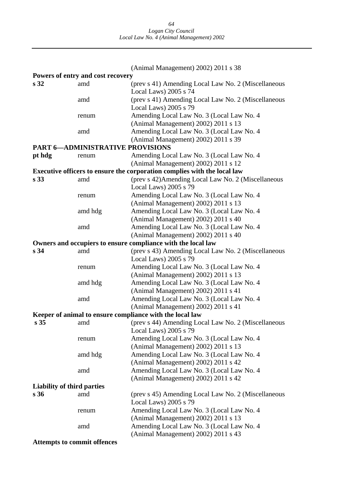|                                   |                                         | (Animal Management) 2002) 2011 s 38                                              |
|-----------------------------------|-----------------------------------------|----------------------------------------------------------------------------------|
|                                   | Powers of entry and cost recovery       |                                                                                  |
| s <sub>32</sub>                   | amd                                     | (prev s 41) Amending Local Law No. 2 (Miscellaneous<br>Local Laws) 2005 s 74     |
|                                   | amd                                     | (prev s 41) Amending Local Law No. 2 (Miscellaneous<br>Local Laws) 2005 s 79     |
|                                   | renum                                   | Amending Local Law No. 3 (Local Law No. 4<br>(Animal Management) 2002) 2011 s 13 |
|                                   | amd                                     | Amending Local Law No. 3 (Local Law No. 4<br>(Animal Management) 2002) 2011 s 39 |
|                                   | <b>PART 6-ADMINISTRATIVE PROVISIONS</b> |                                                                                  |
| pt hdg                            | renum                                   | Amending Local Law No. 3 (Local Law No. 4                                        |
|                                   |                                         | (Animal Management) 2002) 2011 s 12                                              |
|                                   |                                         | Executive officers to ensure the corporation complies with the local law         |
| s <sub>33</sub>                   | amd                                     | (prev s 42) Amending Local Law No. 2 (Miscellaneous<br>Local Laws) 2005 s 79     |
|                                   | renum                                   | Amending Local Law No. 3 (Local Law No. 4<br>(Animal Management) 2002) 2011 s 13 |
|                                   | amd hdg                                 | Amending Local Law No. 3 (Local Law No. 4<br>(Animal Management) 2002) 2011 s 40 |
|                                   | amd                                     | Amending Local Law No. 3 (Local Law No. 4<br>(Animal Management) 2002) 2011 s 40 |
|                                   |                                         | Owners and occupiers to ensure compliance with the local law                     |
| s <sub>34</sub>                   | amd                                     | (prev s 43) Amending Local Law No. 2 (Miscellaneous                              |
|                                   |                                         | Local Laws) 2005 s 79                                                            |
|                                   | renum                                   | Amending Local Law No. 3 (Local Law No. 4                                        |
|                                   |                                         | (Animal Management) 2002) 2011 s 13                                              |
|                                   | amd hdg                                 | Amending Local Law No. 3 (Local Law No. 4                                        |
|                                   |                                         | (Animal Management) 2002) 2011 s 41                                              |
|                                   | amd                                     | Amending Local Law No. 3 (Local Law No. 4                                        |
|                                   |                                         | (Animal Management) 2002) 2011 s 41                                              |
|                                   |                                         | Keeper of animal to ensure compliance with the local law                         |
|                                   |                                         | s 35 amd (prev s 44) Amending Local Law No. 2 (Miscellaneous                     |
|                                   |                                         | Local Laws) 2005 s 79                                                            |
|                                   | renum                                   | Amending Local Law No. 3 (Local Law No. 4)                                       |
|                                   |                                         | (Animal Management) 2002) 2011 s 13                                              |
|                                   | amd hdg                                 | Amending Local Law No. 3 (Local Law No. 4                                        |
|                                   | amd                                     | (Animal Management) 2002) 2011 s 42<br>Amending Local Law No. 3 (Local Law No. 4 |
|                                   |                                         | (Animal Management) 2002) 2011 s 42                                              |
| <b>Liability of third parties</b> |                                         |                                                                                  |
| s <sub>36</sub>                   | amd                                     | (prev s 45) Amending Local Law No. 2 (Miscellaneous                              |
|                                   |                                         | Local Laws) 2005 s 79                                                            |
|                                   | renum                                   | Amending Local Law No. 3 (Local Law No. 4                                        |
|                                   |                                         | (Animal Management) 2002) 2011 s 13                                              |
|                                   | amd                                     | Amending Local Law No. 3 (Local Law No. 4                                        |
|                                   |                                         | (Animal Management) 2002) 2011 s 43                                              |
|                                   |                                         |                                                                                  |

**Attempts to commit offences**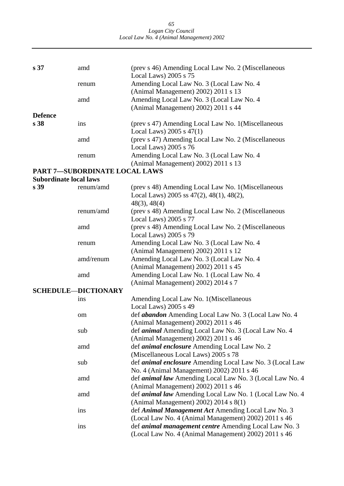*65 Logan City Council Local Law No. 4 (Animal Management) 2002* 

| s 37                          | amd                           | (prev s 46) Amending Local Law No. 2 (Miscellaneous                                                                      |
|-------------------------------|-------------------------------|--------------------------------------------------------------------------------------------------------------------------|
|                               |                               | Local Laws) 2005 s 75                                                                                                    |
|                               | renum                         | Amending Local Law No. 3 (Local Law No. 4                                                                                |
|                               | amd                           | (Animal Management) 2002) 2011 s 13                                                                                      |
|                               |                               | Amending Local Law No. 3 (Local Law No. 4<br>(Animal Management) 2002) 2011 s 44                                         |
| <b>Defence</b>                |                               |                                                                                                                          |
| s <sub>38</sub>               | ins                           | (prev s 47) Amending Local Law No. 1 (Miscellaneous<br>Local Laws) $2005$ s $47(1)$                                      |
|                               | amd                           | (prev s 47) Amending Local Law No. 2 (Miscellaneous<br>Local Laws) 2005 s 76                                             |
|                               | renum                         | Amending Local Law No. 3 (Local Law No. 4<br>(Animal Management) 2002) 2011 s 13                                         |
|                               | PART 7-SUBORDINATE LOCAL LAWS |                                                                                                                          |
| <b>Subordinate local laws</b> |                               |                                                                                                                          |
| s 39                          | renum/amd                     | (prev s 48) Amending Local Law No. 1 (Miscellaneous<br>Local Laws) 2005 ss $47(2)$ , $48(1)$ , $48(2)$ ,<br>48(3), 48(4) |
|                               | renum/amd                     | (prev s 48) Amending Local Law No. 2 (Miscellaneous<br>Local Laws) 2005 s 77                                             |
|                               | amd                           | (prev s 48) Amending Local Law No. 2 (Miscellaneous<br>Local Laws) 2005 s 79                                             |
|                               | renum                         | Amending Local Law No. 3 (Local Law No. 4<br>(Animal Management) 2002) 2011 s 12                                         |
|                               | amd/renum                     | Amending Local Law No. 3 (Local Law No. 4<br>(Animal Management) 2002) 2011 s 45                                         |
|                               | amd                           | Amending Local Law No. 1 (Local Law No. 4<br>(Animal Management) 2002) 2014 s 7                                          |
|                               | <b>SCHEDULE-DICTIONARY</b>    |                                                                                                                          |
|                               | ins                           | Amending Local Law No. 1 (Miscellaneous<br>Local Laws) 2005 s 49                                                         |
|                               | om                            | def <i>abandon</i> Amending Local Law No. 3 (Local Law No. 4<br>(Animal Management) 2002) 2011 s 46                      |
|                               | sub                           | def <i>animal</i> Amending Local Law No. 3 (Local Law No. 4<br>(Animal Management) 2002) 2011 s 46                       |
|                               | amd                           | def <i>animal enclosure</i> Amending Local Law No. 2<br>(Miscellaneous Local Laws) 2005 s 78                             |
|                               | sub                           | def <i>animal enclosure</i> Amending Local Law No. 3 (Local Law<br>No. 4 (Animal Management) 2002) 2011 s 46             |
|                               | amd                           | def <i>animal law</i> Amending Local Law No. 3 (Local Law No. 4<br>(Animal Management) 2002) 2011 s 46                   |
|                               | amd                           | def <i>animal law</i> Amending Local Law No. 1 (Local Law No. 4<br>(Animal Management) 2002) 2014 s $8(1)$               |
|                               | ins                           | def Animal Management Act Amending Local Law No. 3<br>(Local Law No. 4 (Animal Management) 2002) 2011 s 46               |
|                               | ins                           | def <i>animal management centre</i> Amending Local Law No. 3<br>(Local Law No. 4 (Animal Management) 2002) 2011 s 46     |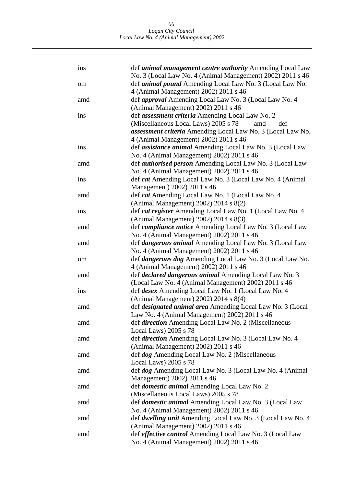| ins | def animal management centre authority Amending Local Law<br>No. 3 (Local Law No. 4 (Animal Management) 2002) 2011 s 46 |
|-----|-------------------------------------------------------------------------------------------------------------------------|
| om  | def <i>animal pound</i> Amending Local Law No. 3 (Local Law No.<br>4 (Animal Management) 2002) 2011 s 46                |
| amd | def <i>approval</i> Amending Local Law No. 3 (Local Law No. 4                                                           |
| ins | (Animal Management) 2002) 2011 s 46<br>def <i>assessment criteria</i> Amending Local Law No. 2                          |
|     | (Miscellaneous Local Laws) 2005 s 78<br>def<br>amd                                                                      |
|     | assessment criteria Amending Local Law No. 3 (Local Law No.<br>4 (Animal Management) 2002) 2011 s 46                    |
| ins | def <i>assistance animal</i> Amending Local Law No. 3 (Local Law                                                        |
|     | No. 4 (Animal Management) 2002) 2011 s 46                                                                               |
| amd | def <i>authorised person</i> Amending Local Law No. 3 (Local Law                                                        |
|     | No. 4 (Animal Management) 2002) 2011 s 46                                                                               |
| ins | def cat Amending Local Law No. 3 (Local Law No. 4 (Animal                                                               |
|     | Management) 2002) 2011 s 46                                                                                             |
| amd | def <i>cat</i> Amending Local Law No. 1 (Local Law No. 4)                                                               |
|     | (Animal Management) 2002) 2014 s 8(2)                                                                                   |
| ins | def cat register Amending Local Law No. 1 (Local Law No. 4                                                              |
|     | (Animal Management) 2002) 2014 s 8(3)                                                                                   |
| amd | def compliance notice Amending Local Law No. 3 (Local Law                                                               |
|     | No. 4 (Animal Management) 2002) 2011 s 46                                                                               |
| amd | def <i>dangerous animal</i> Amending Local Law No. 3 (Local Law<br>No. 4 (Animal Management) 2002) 2011 s 46            |
| om  | def <i>dangerous dog</i> Amending Local Law No. 3 (Local Law No.                                                        |
|     | 4 (Animal Management) 2002) 2011 s 46                                                                                   |
| amd | def <i>declared dangerous animal</i> Amending Local Law No. 3                                                           |
|     | (Local Law No. 4 (Animal Management) 2002) 2011 s 46                                                                    |
| ins | def <i>desex</i> Amending Local Law No. 1 (Local Law No. 4)                                                             |
|     | (Animal Management) 2002) 2014 s 8(4)                                                                                   |
| amd | def <i>designated animal area</i> Amending Local Law No. 3 (Local                                                       |
|     | Law No. 4 (Animal Management) 2002) 2011 s 46                                                                           |
| amd | def direction Amending Local Law No. 2 (Miscellaneous                                                                   |
|     | Local Laws) 2005 s 78                                                                                                   |
| amd | def <i>direction</i> Amending Local Law No. 3 (Local Law No. 4                                                          |
|     | (Animal Management) 2002) 2011 s 46                                                                                     |
| amd | def dog Amending Local Law No. 2 (Miscellaneous                                                                         |
| amd | Local Laws) 2005 s 78<br>def dog Amending Local Law No. 3 (Local Law No. 4 (Animal                                      |
|     | Management) 2002) 2011 s 46                                                                                             |
| amd | def <i>domestic animal</i> Amending Local Law No. 2                                                                     |
|     | (Miscellaneous Local Laws) 2005 s 78                                                                                    |
| amd | def <i>domestic animal</i> Amending Local Law No. 3 (Local Law                                                          |
|     | No. 4 (Animal Management) 2002) 2011 s 46                                                                               |
| amd | def <i>dwelling unit</i> Amending Local Law No. 3 (Local Law No. 4)                                                     |
|     | (Animal Management) 2002) 2011 s 46                                                                                     |
| amd | def effective control Amending Local Law No. 3 (Local Law                                                               |
|     | No. 4 (Animal Management) 2002) 2011 s 46                                                                               |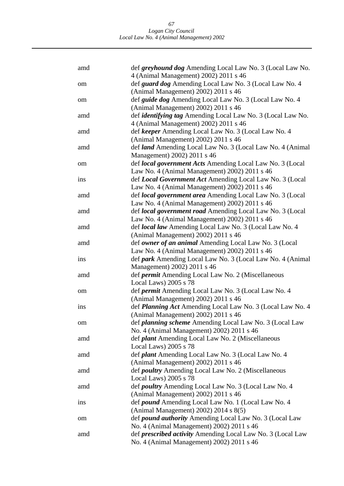*67 Logan City Council Local Law No. 4 (Animal Management) 2002* 

| amd | def greyhound dog Amending Local Law No. 3 (Local Law No.<br>4 (Animal Management) 2002) 2011 s 46 |
|-----|----------------------------------------------------------------------------------------------------|
| om  | def guard dog Amending Local Law No. 3 (Local Law No. 4                                            |
|     | (Animal Management) 2002) 2011 s 46                                                                |
| om  | def <i>guide dog</i> Amending Local Law No. 3 (Local Law No. 4                                     |
|     | (Animal Management) 2002) 2011 s 46                                                                |
| amd | def <i>identifying tag</i> Amending Local Law No. 3 (Local Law No.                                 |
|     | 4 (Animal Management) 2002) 2011 s 46                                                              |
| amd | def keeper Amending Local Law No. 3 (Local Law No. 4                                               |
|     | (Animal Management) 2002) 2011 s 46                                                                |
| amd | def land Amending Local Law No. 3 (Local Law No. 4 (Animal                                         |
| om  | Management) 2002) 2011 s 46<br>def local government Acts Amending Local Law No. 3 (Local           |
|     | Law No. 4 (Animal Management) 2002) 2011 s 46                                                      |
| ins | def Local Government Act Amending Local Law No. 3 (Local                                           |
|     | Law No. 4 (Animal Management) 2002) 2011 s 46                                                      |
| amd | def local government area Amending Local Law No. 3 (Local                                          |
|     | Law No. 4 (Animal Management) 2002) 2011 s 46                                                      |
| amd | def local government road Amending Local Law No. 3 (Local                                          |
|     | Law No. 4 (Animal Management) 2002) 2011 s 46                                                      |
| amd | def <i>local law</i> Amending Local Law No. 3 (Local Law No. 4)                                    |
|     | (Animal Management) 2002) 2011 s 46                                                                |
| amd | def owner of an animal Amending Local Law No. 3 (Local                                             |
|     | Law No. 4 (Animal Management) 2002) 2011 s 46                                                      |
| ins | def park Amending Local Law No. 3 (Local Law No. 4 (Animal                                         |
|     | Management) 2002) 2011 s 46                                                                        |
| amd | def <i>permit</i> Amending Local Law No. 2 (Miscellaneous                                          |
|     | Local Laws) 2005 s 78                                                                              |
| om  | def <i>permit</i> Amending Local Law No. 3 (Local Law No. 4                                        |
|     | (Animal Management) 2002) 2011 s 46                                                                |
| ins | def Planning Act Amending Local Law No. 3 (Local Law No. 4<br>(Animal Management) 2002) 2011 s 46  |
|     | def planning scheme Amending Local Law No. 3 (Local Law                                            |
| om  | No. 4 (Animal Management) 2002) 2011 s 46                                                          |
| amd | def <i>plant</i> Amending Local Law No. 2 (Miscellaneous                                           |
|     | Local Laws) 2005 s 78                                                                              |
| amd | def <i>plant</i> Amending Local Law No. 3 (Local Law No. 4)                                        |
|     | (Animal Management) 2002) 2011 s 46                                                                |
| amd | def poultry Amending Local Law No. 2 (Miscellaneous                                                |
|     | Local Laws) 2005 s 78                                                                              |
| amd | def poultry Amending Local Law No. 3 (Local Law No. 4                                              |
|     | (Animal Management) 2002) 2011 s 46                                                                |
| ins | def <i>pound</i> Amending Local Law No. 1 (Local Law No. 4)                                        |
|     | (Animal Management) 2002) 2014 s 8(5)                                                              |
| om  | def pound authority Amending Local Law No. 3 (Local Law                                            |
|     | No. 4 (Animal Management) 2002) 2011 s 46                                                          |
| amd | def <i>prescribed activity</i> Amending Local Law No. 3 (Local Law                                 |
|     | No. 4 (Animal Management) 2002) 2011 s 46                                                          |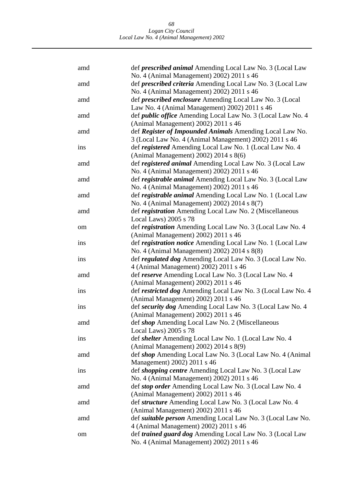| amd | def <i>prescribed animal</i> Amending Local Law No. 3 (Local Law                                                |
|-----|-----------------------------------------------------------------------------------------------------------------|
| amd | No. 4 (Animal Management) 2002) 2011 s 46<br>def <i>prescribed criteria</i> Amending Local Law No. 3 (Local Law |
|     | No. 4 (Animal Management) 2002) 2011 s 46                                                                       |
| amd | def <i>prescribed enclosure</i> Amending Local Law No. 3 (Local                                                 |
|     | Law No. 4 (Animal Management) 2002) 2011 s 46                                                                   |
| amd | def <i>public office</i> Amending Local Law No. 3 (Local Law No. 4                                              |
|     | (Animal Management) 2002) 2011 s 46                                                                             |
| amd | def Register of Impounded Animals Amending Local Law No.                                                        |
|     | 3 (Local Law No. 4 (Animal Management) 2002) 2011 s 46                                                          |
| ins | def registered Amending Local Law No. 1 (Local Law No. 4)                                                       |
|     | (Animal Management) 2002) 2014 s 8(6)                                                                           |
| amd | def registered animal Amending Local Law No. 3 (Local Law                                                       |
|     | No. 4 (Animal Management) 2002) 2011 s 46                                                                       |
| amd | def registrable animal Amending Local Law No. 3 (Local Law                                                      |
|     | No. 4 (Animal Management) 2002) 2011 s 46                                                                       |
| amd | def registrable animal Amending Local Law No. 1 (Local Law                                                      |
|     | No. 4 (Animal Management) 2002) 2014 s 8(7)                                                                     |
| amd | def registration Amending Local Law No. 2 (Miscellaneous                                                        |
|     | Local Laws) 2005 s 78                                                                                           |
| om  | def registration Amending Local Law No. 3 (Local Law No. 4                                                      |
|     | (Animal Management) 2002) 2011 s 46                                                                             |
| ins | def registration notice Amending Local Law No. 1 (Local Law                                                     |
|     | No. 4 (Animal Management) 2002) 2014 s 8(8)                                                                     |
| ins | def regulated dog Amending Local Law No. 3 (Local Law No.                                                       |
|     | 4 (Animal Management) 2002) 2011 s 46                                                                           |
| amd | def reserve Amending Local Law No. 3 (Local Law No. 4                                                           |
|     | (Animal Management) 2002) 2011 s 46                                                                             |
| ins | def restricted dog Amending Local Law No. 3 (Local Law No. 4                                                    |
|     | (Animal Management) 2002) 2011 s 46                                                                             |
| ins | def security dog Amending Local Law No. 3 (Local Law No. 4                                                      |
|     | (Animal Management) 2002) 2011 s 46                                                                             |
| amd | def shop Amending Local Law No. 2 (Miscellaneous                                                                |
|     | Local Laws) 2005 s 78                                                                                           |
| ins | def shelter Amending Local Law No. 1 (Local Law No. 4                                                           |
|     | (Animal Management) 2002) 2014 s 8(9)                                                                           |
| amd | def shop Amending Local Law No. 3 (Local Law No. 4 (Animal                                                      |
|     | Management) 2002) 2011 s 46                                                                                     |
| ins | def <i>shopping centre</i> Amending Local Law No. 3 (Local Law                                                  |
|     | No. 4 (Animal Management) 2002) 2011 s 46                                                                       |
| amd | def stop order Amending Local Law No. 3 (Local Law No. 4                                                        |
|     | (Animal Management) 2002) 2011 s 46                                                                             |
| amd | def <i>structure</i> Amending Local Law No. 3 (Local Law No. 4                                                  |
|     | (Animal Management) 2002) 2011 s 46                                                                             |
| amd | def <i>suitable person</i> Amending Local Law No. 3 (Local Law No.                                              |
|     | 4 (Animal Management) 2002) 2011 s 46                                                                           |
| om  | def trained guard dog Amending Local Law No. 3 (Local Law                                                       |
|     | No. 4 (Animal Management) 2002) 2011 s 46                                                                       |